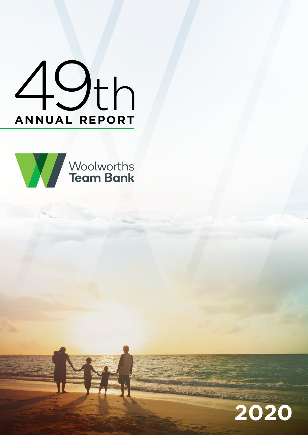



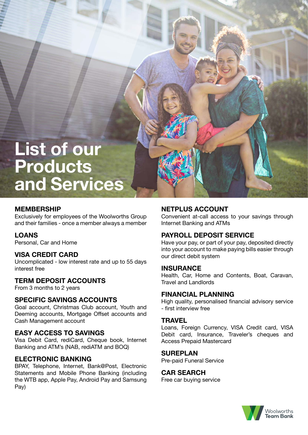# **List of our Products and Services**

# **MEMBERSHIP**

Exclusively for employees of the Woolworths Group and their families - once a member always a member

# **LOANS**

Personal, Car and Home

# **VISA CREDIT CARD**

Uncomplicated - low interest rate and up to 55 days interest free

# **TERM DEPOSIT ACCOUNTS**

From 3 months to 2 years

# **SPECIFIC SAVINGS ACCOUNTS**

Goal account, Christmas Club account, Youth and Deeming accounts, Mortgage Offset accounts and Cash Management account

# **EASY ACCESS TO SAVINGS**

Visa Debit Card, rediCard, Cheque book, Internet Banking and ATM's (NAB, rediATM and BOQ)

# **ELECTRONIC BANKING**

BPAY, Telephone, Internet, Bank@Post, Electronic Statements and Mobile Phone Banking (including the WTB app, Apple Pay, Android Pay and Samsung Pay)

# **NETPLUS ACCOUNT**

Convenient at-call access to your savings through Internet Banking and ATMs

# **PAYROLL DEPOSIT SERVICE**

Have your pay, or part of your pay, deposited directly into your account to make paying bills easier through our direct debit system

#### **INSURANCE**

Health, Car, Home and Contents, Boat, Caravan, Travel and Landlords

# **FINANCIAL PLANNING**

High quality, personalised financial advisory service - first interview free

# **TRAVEL**

Loans, Foreign Currency, VISA Credit card, VISA Debit card, Insurance, Traveler's cheques and Access Prepaid Mastercard

#### **SUREPLAN**

Pre-paid Funeral Service

#### **CAR SEARCH**

Free car buying service

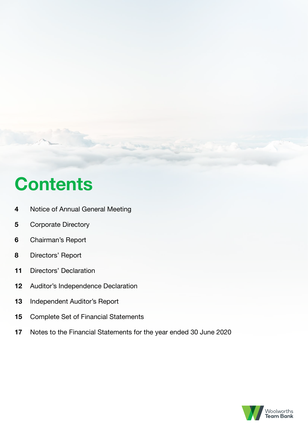# **Contents**

- Notice of Annual General Meeting
- Corporate Directory
- Chairman's Report
- Directors' Report
- Directors' Declaration
- Auditor's Independence Declaration
- Independent Auditor's Report
- Complete Set of Financial Statements
- Notes to the Financial Statements for the year ended 30 June 2020

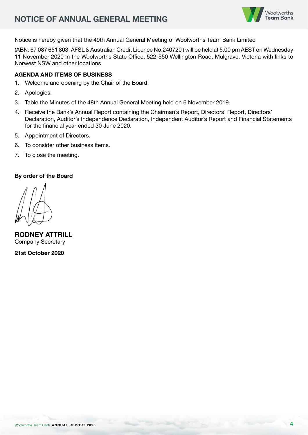# **NOTICE OF ANNUAL GENERAL MEETING**



Notice is hereby given that the 49th Annual General Meeting of Woolworths Team Bank Limited

(ABN: 67 087 651 803, AFSL & Australian Credit Licence No.240720 ) will be held at 5.00 pm AEST on Wednesday 11 November 2020 in the Woolworths State Office, 522-550 Wellington Road, Mulgrave, Victoria with links to Norwest NSW and other locations.

# **AGENDA AND ITEMS OF BUSINESS**

- 1. Welcome and opening by the Chair of the Board.
- 2. Apologies.
- 3. Table the Minutes of the 48th Annual General Meeting held on 6 November 2019.
- 4. Receive the Bank's Annual Report containing the Chairman's Report, Directors' Report, Directors' Declaration, Auditor's Independence Declaration, Independent Auditor's Report and Financial Statements for the financial year ended 30 June 2020.
- 5. Appointment of Directors.
- 6. To consider other business items.
- 7. To close the meeting.

#### **By order of the Board**

**RODNEY ATTRILL** Company Secretary

**21st October 2020**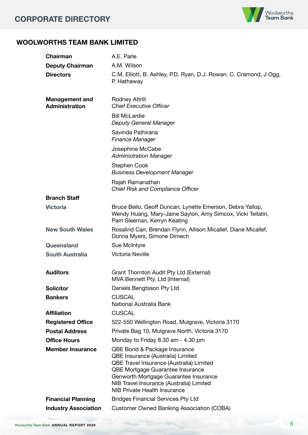

# **WOOLWORTHS TEAM BANK LIMITED**

| <b>Chairman</b>                                | A.E. Parle                                                                                                                                                                                                                                                             |
|------------------------------------------------|------------------------------------------------------------------------------------------------------------------------------------------------------------------------------------------------------------------------------------------------------------------------|
| <b>Deputy Chairman</b>                         | A.M. Wilson                                                                                                                                                                                                                                                            |
| <b>Directors</b>                               | C.M. Elliott, B. Ashley, P.D. Ryan, D.J. Rowan, C. Cramond, J Ogg,<br>P. Hathaway                                                                                                                                                                                      |
| <b>Management and</b><br><b>Administration</b> | <b>Rodney Attrill</b><br><b>Chief Executive Officer</b>                                                                                                                                                                                                                |
|                                                | <b>Bill McLardie</b><br>Deputy General Manager                                                                                                                                                                                                                         |
|                                                | Savinda Pathirana<br><b>Finance Manager</b>                                                                                                                                                                                                                            |
|                                                | Josephine McCabe<br><b>Administration Manager</b>                                                                                                                                                                                                                      |
|                                                | <b>Stephen Cook</b><br><b>Business Development Manager</b>                                                                                                                                                                                                             |
|                                                | Rajah Ramanathan<br><b>Chief Risk and Compliance Officer</b>                                                                                                                                                                                                           |
| <b>Branch Staff</b>                            |                                                                                                                                                                                                                                                                        |
| <b>Victoria</b>                                | Bruce Bello, Geoff Duncan, Lynette Emerson, Debra Yallop,<br>Wendy Huang, Mary-Jaine Saylon, Amy Simcox, Vicki Tellatin,<br>Pam Sleeman, Kerryn Keating                                                                                                                |
| <b>New South Wales</b>                         | Rosalind Carr, Brendan Flynn, Allison Micallef, Diane Micallef,<br>Donna Myers, Simone Dimech                                                                                                                                                                          |
| Queensland                                     | Sue McIntyre                                                                                                                                                                                                                                                           |
| <b>South Australia</b>                         | <b>Victoria Neville</b>                                                                                                                                                                                                                                                |
| <b>Auditors</b>                                | Grant Thornton Audit Pty Ltd (External)<br>MVA Bennett Pty. Ltd (Internal)                                                                                                                                                                                             |
| <b>Solicitor</b>                               | Daniels Bengtsson Pty Ltd                                                                                                                                                                                                                                              |
| <b>Bankers</b>                                 | <b>CUSCAL</b><br>National Australia Bank                                                                                                                                                                                                                               |
| <b>Affiliation</b>                             | <b>CUSCAL</b>                                                                                                                                                                                                                                                          |
| <b>Registered Office</b>                       | 522-550 Wellington Road, Mulgrave, Victoria 3170                                                                                                                                                                                                                       |
| <b>Postal Address</b>                          | Private Bag 10, Mulgrave North, Victoria 3170                                                                                                                                                                                                                          |
| <b>Office Hours</b>                            | Monday to Friday 8.30 am - 4.30 pm                                                                                                                                                                                                                                     |
| <b>Member Insurance</b>                        | QBE Bond & Package Insurance<br>QBE Insurance (Australia) Limited<br>QBE Travel Insurance (Australia) Limited<br>QBE Mortgage Guarantee Insurance<br>Genworth Mortgage Guarantee Insurance<br>NIB Travel Insurance (Australia) Limited<br>NIB Private Health Insurance |
| <b>Financial Planning</b>                      | <b>Bridges Financial Services Pty Ltd</b>                                                                                                                                                                                                                              |
| <b>Industry Association</b>                    | <b>Customer Owned Banking Association (COBA)</b>                                                                                                                                                                                                                       |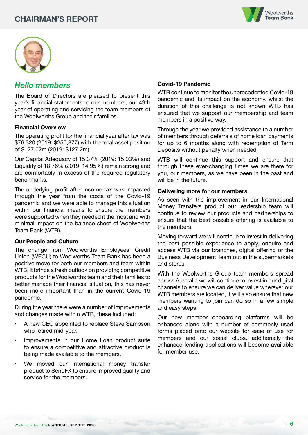



# *Hello members*

The Board of Directors are pleased to present this year's financial statements to our members, our 49th year of operating and servicing the team members of the Woolworths Group and their families.

#### **Financial Overview**

The operating profit for the financial year after tax was \$76,320 (2019: \$255,877) with the total asset position of \$127.02m (2019: \$127.2m).

Our Capital Adequacy of 15.37% (2019: 15.03%) and Liquidity of 18.76% (2019: 14.95%) remain strong and are comfortably in excess of the required regulatory benchmarks.

The underlying profit after income tax was impacted through the year from the costs of the Covid-19 pandemic and we were able to manage this situation within our financial means to ensure the members were supported when they needed it the most and with minimal impact on the balance sheet of Woolworths Team Bank (WTB).

#### **Our People and Culture**

The change from Woolworths Employees' Credit Union (WECU) to Woolworths Team Bank has been a positive move for both our members and team within WTB, it brings a fresh outlook on providing competitive products for the Woolworths team and their families to better manage their financial situation, this has never been more important than in the current Covid-19 pandemic.

During the year there were a number of improvements and changes made within WTB, these included:

- A new CEO appointed to replace Steve Sampson who retired mid-year.
- Improvements in our Home Loan product suite to ensure a competitive and attractive product is being made available to the members.
- We moved our international money transfer product to SendFX to ensure improved quality and service for the members.

#### **Covid-19 Pandemic**

WTB continue to monitor the unprecedented Covid-19 pandemic and its impact on the economy, whilst the duration of this challenge is not known WTB has ensured that we support our membership and team members in a positive way.

Through the year we provided assistance to a number of members through deferrals of home loan payments for up to 6 months along with redemption of Term Deposits without penalty when needed.

WTB will continue this support and ensure that through these ever-changing times we are there for you, our members, as we have been in the past and will be in the future.

#### **Delivering more for our members**

As seen with the improvement in our International Money Transfers product our leadership team will continue to review our products and partnerships to ensure that the best possible offering is available to the members.

Moving forward we will continue to invest in delivering the best possible experience to apply, enquire and access WTB via our branches, digital offering or the Business Development Team out in the supermarkets and stores.

With the Woolworths Group team members spread across Australia we will continue to invest in our digital channels to ensure we can deliver value wherever our WTB members are located, it will also ensure that new members wanting to join can do so in a few simple and easy steps.

Our new member onboarding platforms will be enhanced along with a number of commonly used forms placed onto our website for ease of use for members and our social clubs, additionally the enhanced lending applications will become available for member use.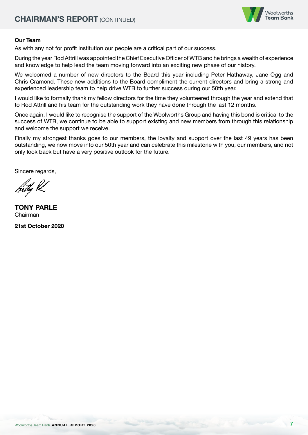

## **Our Team**

As with any not for profit institution our people are a critical part of our success.

During the year Rod Attrill was appointed the Chief Executive Officer of WTB and he brings a wealth of experience and knowledge to help lead the team moving forward into an exciting new phase of our history.

We welcomed a number of new directors to the Board this year including Peter Hathaway, Jane Ogg and Chris Cramond. These new additions to the Board compliment the current directors and bring a strong and experienced leadership team to help drive WTB to further success during our 50th year.

I would like to formally thank my fellow directors for the time they volunteered through the year and extend that to Rod Attrill and his team for the outstanding work they have done through the last 12 months.

Once again, I would like to recognise the support of the Woolworths Group and having this bond is critical to the success of WTB, we continue to be able to support existing and new members from through this relationship and welcome the support we receive.

Finally my strongest thanks goes to our members, the loyalty and support over the last 49 years has been outstanding, we now move into our 50th year and can celebrate this milestone with you, our members, and not only look back but have a very positive outlook for the future.

Sincere regards.

**TONY PARLE** Chairman

**21st October 2020**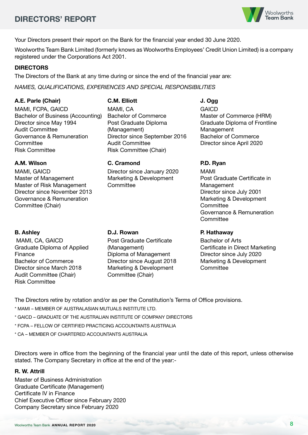# **DIRECTORS' REPORT**



Your Directors present their report on the Bank for the financial year ended 30 June 2020.

Woolworths Team Bank Limited (formerly knows as Woolworths Employees' Credit Union Limited) is a company registered under the Corporations Act 2001.

#### **DIRECTORS**

The Directors of the Bank at any time during or since the end of the financial year are:

*NAMES, QUALIFICATIONS, EXPERIENCES AND SPECIAL RESPONSIBILITIES*

#### **A.E. Parle (Chair)**

MAMI, FCPA, GAICD Bachelor of Business (Accounting) Director since May 1994 Audit Committee Governance & Remuneration **Committee** Risk Committee

#### **A.M. Wilson**

MAMI, GAICD Master of Management Master of Risk Management Director since November 2013 Governance & Remuneration Committee (Chair)

#### **B. Ashley**

 MAMI, CA, GAICD Graduate Diploma of Applied Finance Bachelor of Commerce Director since March 2018 Audit Committee (Chair) Risk Committee

#### **C.M. Elliott**

MAMI, CA Bachelor of Commerce Post Graduate Diploma (Management) Director since September 2016 Audit Committee Risk Committee (Chair)

#### **C. Cramond**

Director since January 2020 Marketing & Development **Committee** 

#### **D.J. Rowan**

Post Graduate Certificate (Management) Diploma of Management Director since August 2018 Marketing & Development Committee (Chair)

## **J. Ogg**

**GAICD** Master of Commerce (HRM) Graduate Diploma of Frontline Management Bachelor of Commerce Director since April 2020

#### **P.D. Ryan**

MAMI Post Graduate Certificate in Management Director since July 2001 Marketing & Development **Committee** Governance & Remuneration **Committee** 

## **P. Hathaway**

Bachelor of Arts Certificate in Direct Marketing Director since July 2020 Marketing & Development **Committee** 

The Directors retire by rotation and/or as per the Constitution's Terms of Office provisions.

- \* MAMI MEMBER OF AUSTRALASIAN MUTUALS INSTITUTE LTD.
- \* GAICD GRADUATE OF THE AUSTRALIAN INSTITUTE OF COMPANY DIRECTORS
- \* FCPA FELLOW OF CERTIFIED PRACTICING ACCOUNTANTS AUSTRALIA

\* CA – MEMBER OF CHARTERED ACCOUNTANTS AUSTRALIA

Directors were in office from the beginning of the financial year until the date of this report, unless otherwise stated. The Company Secretary in office at the end of the year:-

#### **R. W. Attrill**

Master of Business Administration Graduate Certificate (Management) Certificate IV in Finance Chief Executive Officer since February 2020 Company Secretary since February 2020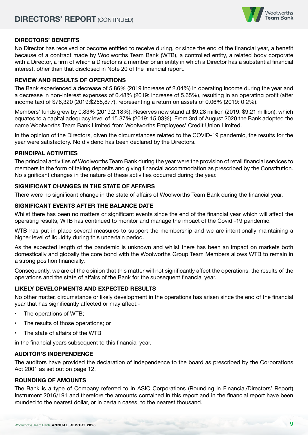

# **DIRECTORS' BENEFITS**

No Director has received or become entitled to receive during, or since the end of the financial year, a benefit because of a contract made by Woolworths Team Bank (WTB), a controlled entity, a related body corporate with a Director, a firm of which a Director is a member or an entity in which a Director has a substantial financial interest, other than that disclosed in Note 20 of the financial report.

#### **REVIEW AND RESULTS OF OPERATIONS**

The Bank experienced a decrease of 5.86% (2019 increase of 2.04%) in operating income during the year and a decrease in non-interest expenses of 0.48% (2019: increase of 5.65%), resulting in an operating profit (after income tax) of \$76,320 (2019:\$255,877), representing a return on assets of 0.06% (2019: 0.2%).

Members' funds grew by 0.83% (2019:2.18%). Reserves now stand at \$9.28 million (2019: \$9.21 million), which equates to a capital adequacy level of 15.37% (2019: 15.03%). From 3rd of August 2020 the Bank adopted the name Woolworths Team Bank Limited from Woolworths Employees' Credit Union Limited.

In the opinion of the Directors, given the circumstances related to the COVID-19 pandemic, the results for the year were satisfactory. No dividend has been declared by the Directors.

#### **PRINCIPAL ACTIVITIES**

The principal activities of Woolworths Team Bank during the year were the provision of retail financial services to members in the form of taking deposits and giving financial accommodation as prescribed by the Constitution. No significant changes in the nature of these activities occurred during the year.

#### **SIGNIFICANT CHANGES IN THE STATE OF AFFAIRS**

There were no significant change in the state of affairs of Woolworths Team Bank during the financial year.

#### **SIGNIFICANT EVENTS AFTER THE BALANCE DATE**

Whilst there has been no matters or significant events since the end of the financial year which will affect the operating results, WTB has continued to monitor and manage the impact of the Covid -19 pandemic.

WTB has put in place several measures to support the membership and we are intentionally maintaining a higher level of liquidity during this uncertain period.

As the expected length of the pandemic is unknown and whilst there has been an impact on markets both domestically and globally the core bond with the Woolworths Group Team Members allows WTB to remain in a strong position financially.

Consequently, we are of the opinion that this matter will not significantly affect the operations, the results of the operations and the state of affairs of the Bank for the subsequent financial year.

# **LIKELY DEVELOPMENTS AND EXPECTED RESULTS**

No other matter, circumstance or likely development in the operations has arisen since the end of the financial year that has significantly affected or may affect:-

- The operations of WTB;
- The results of those operations; or
- The state of affairs of the WTB

in the financial years subsequent to this financial year.

# **AUDITOR'S INDEPENDENCE**

The auditors have provided the declaration of independence to the board as prescribed by the Corporations Act 2001 as set out on page 12.

# **ROUNDING OF AMOUNTS**

The Bank is a type of Company referred to in ASIC Corporations (Rounding in Financial/Directors' Report) Instrument 2016/191 and therefore the amounts contained in this report and in the financial report have been rounded to the nearest dollar, or in certain cases, to the nearest thousand.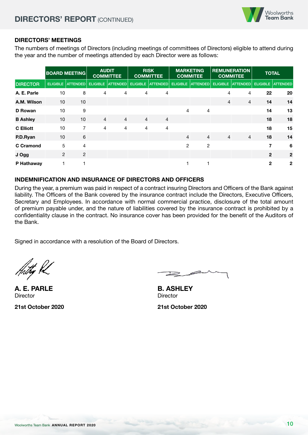

## **DIRECTORS' MEETINGS**

The numbers of meetings of Directors (including meetings of committees of Directors) eligible to attend during the year and the number of meetings attended by each Director were as follows:

|                  |    | <b>BOARD MEETING</b> |                | <b>AUDIT</b><br><b>COMMITTEE</b>                      |                | <b>RISK</b><br><b>COMMITTEE</b> |                | <b>MARKETING</b><br><b>COMMITEE</b> |                | <b>REMUNERATION</b><br><b>COMMITEE</b> | <b>TOTAL</b>   |                     |
|------------------|----|----------------------|----------------|-------------------------------------------------------|----------------|---------------------------------|----------------|-------------------------------------|----------------|----------------------------------------|----------------|---------------------|
| <b>DIRECTOR</b>  |    | ELIGIBLE ATTENDED    |                | ELIGIBLE ATTENDED ELIGIBLE ATTENDED ELIGIBLE ATTENDED |                |                                 |                |                                     |                | ELIGIBLE   ATTENDED                    |                | ELIGIBLE   ATTENDED |
| A. E. Parle      | 10 | 8                    | $\overline{4}$ | 4                                                     | 4              | $\overline{4}$                  |                |                                     | 4              | 4                                      | 22             | 20                  |
| A.M. Wilson      | 10 | 10                   |                |                                                       |                |                                 |                |                                     | $\overline{4}$ | $\overline{4}$                         | 14             | 14                  |
| D Rowan          | 10 | 9                    |                |                                                       |                |                                 | 4              | 4                                   |                |                                        | 14             | 13                  |
| <b>B</b> Ashley  | 10 | 10                   | $\overline{4}$ | $\overline{4}$                                        | $\overline{4}$ | $\overline{4}$                  |                |                                     |                |                                        | 18             | 18                  |
| <b>C</b> Elliott | 10 | $\overline{7}$       | $\overline{4}$ | 4                                                     | 4              | $\overline{4}$                  |                |                                     |                |                                        | 18             | 15                  |
| P.D.Ryan         | 10 | 6                    |                |                                                       |                |                                 | $\overline{4}$ | $\overline{4}$                      | $\overline{4}$ | $\overline{4}$                         | 18             | 14                  |
| <b>C</b> Cramond | 5  | $\overline{4}$       |                |                                                       |                |                                 | 2              | 2                                   |                |                                        | 7              | 6                   |
| J Ogg            | 2  | $\overline{2}$       |                |                                                       |                |                                 |                |                                     |                |                                        | $\overline{2}$ | $\overline{2}$      |
| P Hathaway       |    |                      |                |                                                       |                |                                 |                |                                     |                |                                        | $\mathbf{2}$   | $\mathbf{2}$        |

# **INDEMNIFICATION AND INSURANCE OF DIRECTORS AND OFFICERS**

During the year, a premium was paid in respect of a contract insuring Directors and Officers of the Bank against liability. The Officers of the Bank covered by the insurance contract include the Directors, Executive Officers, Secretary and Employees. In accordance with normal commercial practice, disclosure of the total amount of premium payable under, and the nature of liabilities covered by the insurance contract is prohibited by a confidentiality clause in the contract. No insurance cover has been provided for the benefit of the Auditors of the Bank.

Signed in accordance with a resolution of the Board of Directors.

**A. E. PARLE Director** 

**21st October 2020**

**B. ASHLEY Director** 

**21st October 2020**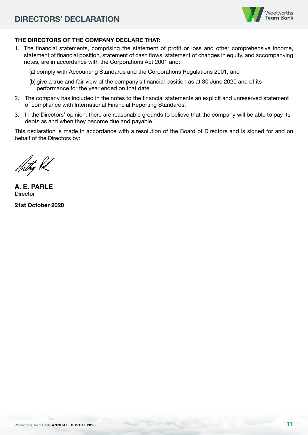

# **THE DIRECTORS OF THE COMPANY DECLARE THAT:**

- 1. The financial statements, comprising the statement of profit or loss and other comprehensive income, statement of financial position, statement of cash flows, statement of changes in equity, and accompanying notes, are in accordance with the Corporations Act 2001 and:
	- (a) comply with Accounting Standards and the Corporations Regulations 2001; and
	- (b) give a true and fair view of the company's financial position as at 30 June 2020 and of its performance for the year ended on that date.
- 2. The company has included in the notes to the financial statements an explicit and unreserved statement of compliance with International Financial Reporting Standards.
- 3. In the Directors' opinion, there are reasonable grounds to believe that the company will be able to pay its debts as and when they become due and payable.

This declaration is made in accordance with a resolution of the Board of Directors and is signed for and on behalf of the Directors by:

**A. E. PARLE Director** 

**21st October 2020**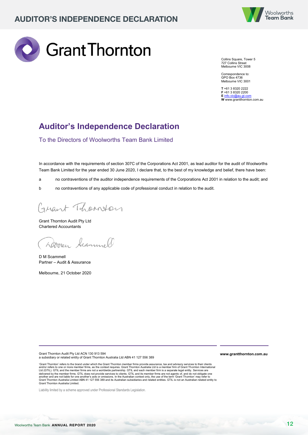



Collins Square, Tower 5 727 Collins Street Melbourne VIC 3008

Correspondence to: GPO Box 4736 Melbourne VIC 3001

**T** +61 3 8320 2222 **F** +61 3 8320 2200 **E** info.vic@au.gt.com **W** www.grantthornton.com.au

# **Auditor's Independence Declaration**

To the Directors of Woolworths Team Bank Limited

In accordance with the requirements of section 307C of the Corporations Act 2001, as lead auditor for the audit of Woolworths Team Bank Limited for the year ended 30 June 2020, I declare that, to the best of my knowledge and belief, there have been:

- a no contraventions of the auditor independence requirements of the Corporations Act 2001 in relation to the audit; and
- b no contraventions of any applicable code of professional conduct in relation to the audit.

Grant Thomton

Grant Thornton Audit Pty Ltd Chartered Accountants

Doven teammel

D M Scammell Partner – Audit & Assurance

Melbourne, 21 October 2020

Grant Thornton Audit Pty Ltd ACN 130 913 594

a subsidiary or related entity of Grant Thornton Australia Ltd ABN 41 127 556 389

'Grant Thornton' refers to the brand under which the Grant Thornton member firms provide assurance, tax and advisory services to their clients and/or refers to one or more member firms, as the context requires. Grant Thomton Australia Ltd is a member firm of Grant Thomton International<br>Ltd (GTLL). GTLL and the member firms are not a worldwide partnership. GTIL an

Liability limited by a scheme approved under Professional Standards Legislation.

**www.grantthornton.com.au**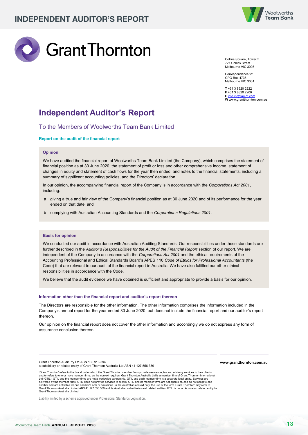



Collins Square, Tower 5 727 Collins Street Melbourne VIC 3008

Correspondence to: GPO Box 4736 Melbourne VIC 3001

**T** +61 3 8320 2222 **F** +61 3 8320 2200 **E** info.vic@au.gt.com **W** www.grantthornton.com.au

# **Independent Auditor's Report**

#### To the Members of Woolworths Team Bank Limited

#### **Report on the audit of the financial report**

#### **Opinion**

We have audited the financial report of Woolworths Team Bank Limited (the Company), which comprises the statement of financial position as at 30 June 2020, the statement of profit or loss and other comprehensive income, statement of changes in equity and statement of cash flows for the year then ended, and notes to the financial statements, including a summary of significant accounting policies, and the Directors' declaration.

In our opinion, the accompanying financial report of the Company is in accordance with the *Corporations Act 2001*, including:

- a giving a true and fair view of the Company's financial position as at 30 June 2020 and of its performance for the year ended on that date; and
- b complying with Australian Accounting Standards and the *Corporations Regulations 2001*.

#### **Basis for opinion**

We conducted our audit in accordance with Australian Auditing Standards. Our responsibilities under those standards are further described in the *Auditor's Responsibilities for the Audit of the Financial Report* section of our report. We are independent of the Company in accordance with the *Corporations Act 2001* and the ethical requirements of the Accounting Professional and Ethical Standards Board's APES 110 *Code of Ethics for Professional Accountants* (the Code) that are relevant to our audit of the financial report in Australia. We have also fulfilled our other ethical responsibilities in accordance with the Code.

We believe that the audit evidence we have obtained is sufficient and appropriate to provide a basis for our opinion.

#### **Information other than the financial report and auditor's report thereon**

The Directors are responsible for the other information. The other information comprises the information included in the Company's annual report for the year ended 30 June 2020, but does not include the financial report and our auditor's report thereon.

Our opinion on the financial report does not cover the other information and accordingly we do not express any form of assurance conclusion thereon.

Grant Thornton Audit Pty Ltd ACN 130 913 594 a subsidiary or related entity of Grant Thornton Australia Ltd ABN 41 127 556 389

'Grant Thornton' refers to the brand under which the Grant Thornton member firms provide assurance, tax and advisory services to their clients and/or refers to one or more member firms, as the context requires. Grant Thomton Australia Ltd is a member firm of Grant Thomton International<br>Ltd (GTIL). GTIL and the member firms are not a wordtwide partnership. GTIL an Grant Thornton Australia Limited.

Liability limited by a scheme approved under Professional Standards Legislation.

**www.grantthornton.com.au**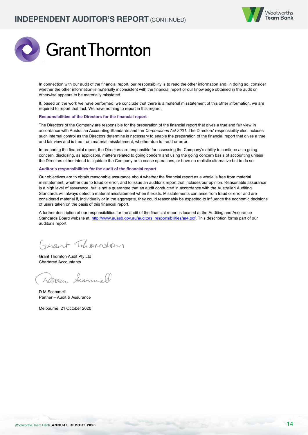



In connection with our audit of the financial report, our responsibility is to read the other information and, in doing so, consider whether the other information is materially inconsistent with the financial report or our knowledge obtained in the audit or otherwise appears to be materially misstated.

If, based on the work we have performed, we conclude that there is a material misstatement of this other information, we are required to report that fact. We have nothing to report in this regard.

#### **Responsibilities of the Directors for the financial report**

The Directors of the Company are responsible for the preparation of the financial report that gives a true and fair view in accordance with Australian Accounting Standards and the *Corporations Act 2001*. The Directors' responsibility also includes such internal control as the Directors determine is necessary to enable the preparation of the financial report that gives a true and fair view and is free from material misstatement, whether due to fraud or error.

In preparing the financial report, the Directors are responsible for assessing the Company's ability to continue as a going concern, disclosing, as applicable, matters related to going concern and using the going concern basis of accounting unless the Directors either intend to liquidate the Company or to cease operations, or have no realistic alternative but to do so.

#### **Auditor's responsibilities for the audit of the financial report**

Our objectives are to obtain reasonable assurance about whether the financial report as a whole is free from material misstatement, whether due to fraud or error, and to issue an auditor's report that includes our opinion. Reasonable assurance is a high level of assurance, but is not a guarantee that an audit conducted in accordance with the Australian Auditing Standards will always detect a material misstatement when it exists. Misstatements can arise from fraud or error and are considered material if, individually or in the aggregate, they could reasonably be expected to influence the economic decisions of users taken on the basis of this financial report.

A further description of our responsibilities for the audit of the financial report is located at the Auditing and Assurance Standards Board website at: http://www.auasb.gov.au/auditors\_responsibilities/ar4.pdf. This description forms part of our auditor's report.

Grant Thomson

Grant Thornton Audit Pty Ltd Chartered Accountants

Dorren Scammel

D M Scammell Partner – Audit & Assurance

Melbourne, 21 October 2020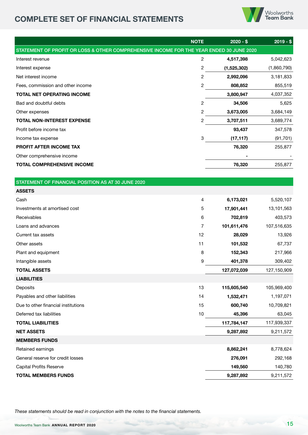# **COMPLETE SET OF FINANCIAL STATEMENTS**



|                                                                                          | <b>NOTE</b>    | $2020 - $$  | $2019 - $$  |
|------------------------------------------------------------------------------------------|----------------|-------------|-------------|
| STATEMENT OF PROFIT OR LOSS & OTHER COMPREHENSIVE INCOME FOR THE YEAR ENDED 30 JUNE 2020 |                |             |             |
| Interest revenue                                                                         | $\overline{c}$ | 4,517,398   | 5,042,623   |
| Interest expense                                                                         | 2              | (1,525,302) | (1,860,790) |
| Net interest income                                                                      | 2              | 2,992,096   | 3,181,833   |
| Fees, commission and other income                                                        | 2              | 808,852     | 855,519     |
| <b>TOTAL NET OPERATING INCOME</b>                                                        |                | 3,800,947   | 4,037,352   |
| Bad and doubtful debts                                                                   | 2              | 34,506      | 5,625       |
| Other expenses                                                                           | 2              | 3,673,005   | 3,684,149   |
| TOTAL NON-INTEREST EXPENSE                                                               | 2              | 3,707,511   | 3,689,774   |
| Profit before income tax                                                                 |                | 93,437      | 347,578     |
| Income tax expense                                                                       | 3              | (17, 117)   | (91, 701)   |
| PROFIT AFTER INCOME TAX                                                                  |                | 76,320      | 255,877     |
| Other comprehensive income                                                               |                |             |             |
| <b>TOTAL COMPREHENSIVE INCOME</b>                                                        |                | 76,320      | 255,877     |
|                                                                                          |                |             |             |
| STATEMENT OF FINANCIAL POSITION AS AT 30 JUNE 2020                                       |                |             |             |
| <b>ASSETS</b>                                                                            |                |             |             |
| Cash                                                                                     | 4              | 6,173,021   | 5,520,107   |
| Investments at amortised cost                                                            | 5              | 17,901,441  | 13,101,563  |
| Receivables                                                                              | 6              | 702,819     | 403,573     |
| Loans and advances                                                                       | 7              | 101,611,476 | 107,516,635 |
| Current tax assets                                                                       | 12             | 28,029      | 13,926      |
| Other assets                                                                             | 11             | 101,532     | 67,737      |
| Plant and equipment                                                                      | 8              | 152,343     | 217,966     |
| Intangible assets                                                                        | 9              | 401,378     | 309,402     |
| <b>TOTAL ASSETS</b>                                                                      |                | 127,072,039 | 127,150,909 |
| <b>LIABILITIES</b>                                                                       |                |             |             |
| Deposits                                                                                 | 13             | 115,605,540 | 105,969,400 |
| Payables and other liabilities                                                           | 14             | 1,532,471   | 1,197,071   |
| Due to other financial institutions                                                      | 15             | 600,740     | 10,709,821  |
| Deferred tax liabilities                                                                 | 10             | 45,396      | 63,045      |
| <b>TOTAL LIABILITIES</b>                                                                 |                | 117,784,147 | 117,939,337 |
| <b>NET ASSETS</b>                                                                        |                | 9,287,892   | 9,211,572   |
| <b>MEMBERS FUNDS</b>                                                                     |                |             |             |
| Retained earnings                                                                        |                | 8,862,241   | 8,778,624   |
| General reserve for credit losses                                                        |                | 276,091     | 292,168     |
| <b>Capital Profits Reserve</b>                                                           |                | 149,560     | 140,780     |
| <b>TOTAL MEMBERS FUNDS</b>                                                               |                | 9,287,892   | 9,211,572   |

*These statements should be read in conjunction with the notes to the financial statements.*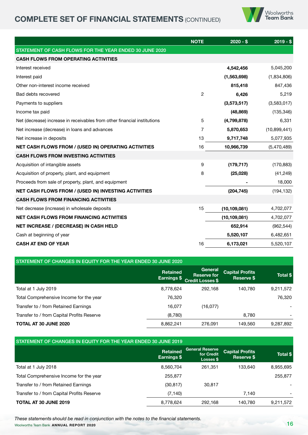# **COMPLETE SET OF FINANCIAL STATEMENTS (CONTINUED)**



|                                                                          | <b>NOTE</b>  | $2020 - $$     | $2019 - $$     |
|--------------------------------------------------------------------------|--------------|----------------|----------------|
| STATEMENT OF CASH FLOWS FOR THE YEAR ENDED 30 JUNE 2020                  |              |                |                |
| <b>CASH FLOWS FROM OPERATING ACTIVITIES</b>                              |              |                |                |
| Interest received                                                        |              | 4,542,456      | 5,045,200      |
| Interest paid                                                            |              | (1,563,698)    | (1,834,806)    |
| Other non-interest income received                                       |              | 815,418        | 847,436        |
| Bad debts recovered                                                      | $\mathbf{2}$ | 6,426          | 5,219          |
| Payments to suppliers                                                    |              | (3,573,517)    | (3,583,017)    |
| Income tax paid                                                          |              | (48, 869)      | (135, 346)     |
| Net (decrease) increase in receivables from other financial institutions | 5            | (4,799,878)    | 6,331          |
| Net increase (decrease) in loans and advances                            | 7            | 5,870,653      | (10, 899, 441) |
| Net increase in deposits                                                 | 13           | 9,717,748      | 5,077,935      |
| <b>NET CASH FLOWS FROM / (USED IN) OPERATING ACTIVITIES</b>              | 16           | 10,966,739     | (5,470,489)    |
| <b>CASH FLOWS FROM INVESTING ACTIVITIES</b>                              |              |                |                |
| Acquisition of intangible assets                                         | 9            | (179, 717)     | (170, 883)     |
| Acquisition of property, plant, and equipment                            | 8            | (25, 028)      | (41, 249)      |
| Proceeds from sale of property, plant, and equipment                     |              |                | 18,000         |
| <b>NET CASH FLOWS FROM / (USED IN) INVESTING ACTIVITIES</b>              |              | (204, 745)     | (194, 132)     |
| <b>CASH FLOWS FROM FINANCING ACTIVITIES</b>                              |              |                |                |
| Net decrease (increase) in wholesale deposits                            | 15           | (10, 109, 081) | 4,702,077      |
| <b>NET CASH FLOWS FROM FINANCING ACTIVITIES</b>                          |              | (10, 109, 081) | 4,702,077      |
| NET INCREASE / (DECREASE) IN CASH HELD                                   |              | 652,914        | (962, 544)     |
| Cash at beginning of year                                                |              | 5,520,107      | 6,482,651      |
| <b>CASH AT END OF YEAR</b>                                               | 16           | 6,173,021      | 5,520,107      |
|                                                                          |              |                |                |

| STATEMENT OF CHANGES IN EQUITY FOR THE YEAR ENDED 30 JUNE 2020 |                                |                                                          |                                             |           |  |  |  |  |
|----------------------------------------------------------------|--------------------------------|----------------------------------------------------------|---------------------------------------------|-----------|--|--|--|--|
|                                                                | <b>Retained</b><br>Earnings \$ | General<br><b>Reserve for</b><br><b>Credit Losses \$</b> | <b>Capital Profits</b><br><b>Reserve \$</b> | Total \$  |  |  |  |  |
| Total at 1 July 2019                                           | 8,778,624                      | 292.168                                                  | 140.780                                     | 9,211,572 |  |  |  |  |
| Total Comprehensive Income for the year                        | 76.320                         |                                                          |                                             | 76.320    |  |  |  |  |
| Transfer to / from Retained Earnings                           | 16.077                         | (16,077)                                                 |                                             |           |  |  |  |  |
| Transfer to / from Capital Profits Reserve                     | (8,780)                        |                                                          | 8,780                                       |           |  |  |  |  |
| <b>TOTAL AT 30 JUNE 2020</b>                                   | 8,862,241                      | 276.091                                                  | 149,560                                     | 9,287,892 |  |  |  |  |

#### STATEMENT OF CHANGES IN EQUITY FOR THE YEAR ENDED 30 JUNE 2019

|                                            | <b>Retained</b><br>Earnings \$ | General Reserve<br>for Credit<br>Losses \$ | <b>Capital Profits</b><br>Reserve \$ | Total \$  |
|--------------------------------------------|--------------------------------|--------------------------------------------|--------------------------------------|-----------|
| Total at 1 July 2018                       | 8,560,704                      | 261.351                                    | 133.640                              | 8,955,695 |
| Total Comprehensive Income for the year    | 255,877                        |                                            |                                      | 255,877   |
| Transfer to / from Retained Earnings       | (30, 817)                      | 30.817                                     |                                      |           |
| Transfer to / from Capital Profits Reserve | (7, 140)                       |                                            | 7.140                                |           |
| <b>TOTAL AT 30 JUNE 2019</b>               | 8,778,624                      | 292.168                                    | 140.780                              | 9,211,572 |

Woolworths Team Bank **ANNUAL REPORT 2020** 16 *These statements should be read in conjunction with the notes to the financial statements.*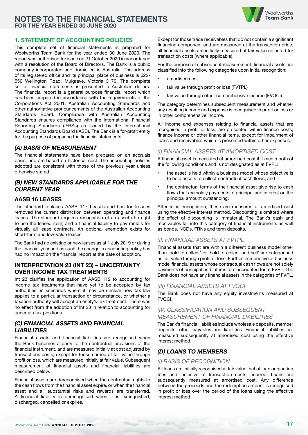

#### **1. STATEMENT OF ACCOUNTING POLICIES**

This complete set of financial statements is prepared for Woolworths Team Bank for the year ended 30 June 2020. The report was authorised for issue on 21 October 2020 in accordance with a resolution of the Board of Directors. The Bank is a public company incorporated and domiciled in Australia. The address of its registered office and its principal place of business is 522- 550 Wellington Road, Mulgrave, Victoria 3170. The complete set of financial statements is presented in Australian dollars. The financial report is a general purpose financial report which has been prepared in accordance with the requirements of the Corporations Act 2001, Australian Accounting Standards and other authoritative pronouncements of the Australian Accounting Standards Board. Compliance with Australian Accounting Standards ensures compliance with the International Financial Reporting Standards (IFRSs) as issued by the International Accounting Standards Board (IASB). The Bank is a for-profit entity for the purpose of preparing the financial statements.

#### *(A) BASIS OF MEASUREMENT*

The financial statements have been prepared on an accruals basis, and are based on historical cost. The accounting policies adopted are consistent with those of the previous year unless otherwise stated.

#### *(B) NEW STANDARDS APPLICABLE FOR THE CURRENT YEAR*

#### **AASB 16 LEASES**

The standard replaces AASB 117 Leases and has for lessees removed the current distinction between operating and finance leases. The standard requires recognition of an asset (the right to use the leased item) and a financial liability to pay rentals for virtually all lease contracts. An optional exemption exists for short-term and low-value leases.

The Bank had no existing or new leases as at 1 July 2019 or during the financial year and as such the change in accounting policy has had no impact on the financial report at the date of adoption.

#### **INTERPRETATION 23 (INT 23) – UNCERTAINTY OVER INCOME TAX TREATMENTS**

Int 23 clarifies the application of AASB 112 to accounting for income tax treatments that have yet to be accepted by tax authorities, in scenarios where it may be unclear how tax law applies to a particular transaction or circumstance, or whether a taxation authority will accept an entity's tax treatment. There was no effect from the adoption of Int 23 in relation to accounting for uncertain tax positions.

#### *(C) FINANCIAL ASSETS AND FINANCIAL LIABILITIES*

Financial assets and financial liabilities are recognised when the Bank becomes a party to the contractual provisions of the financial instrument, and are measured initially at cost adjusted by transactions costs, except for those carried at fair value through profit or loss, which are measured initially at fair value. Subsequent measurement of financial assets and financial liabilities are described below.

Financial assets are derecognised when the contractual rights to the cash flows from the financial asset expire, or when the financial asset and all substantial risks and rewards are transferred. A financial liability is derecognised when it is extinguished, discharged, cancelled or expires.

Except for those trade receivables that do not contain a significant financing component and are measured at the transaction price, all financial assets are initially measured at fair value adjusted for transaction costs (where applicable).

For the purpose of subsequent measurement, financial assets are classified into the following categories upon initial recognition:

- amortised cost
- fair value through profit or loss (FVTPL)
- fair value through other comprehensive income (FVOCI)

The category determines subsequent measurement and whether any resulting income and expense is recognised in profit or loss or in other comprehensive income.

All income and expenses relating to financial assets that are recognised in profit or loss, are presented within finance costs, finance income or other financial items, except for impairment of loans and receivables which is presented within other expenses.

#### *(I) FINANCIAL ASSETS AT AMORTISED COST*

A financial asset is measured at amortised cost if it meets both of the following conditions and is not designated as at FVPL:

- the asset is held within a business model whose objective is to hold assets to collect contractual cash flows; and
- the contractual terms of the financial asset give rise to cash flows that are solely payments of principal and interest on the principal amount outstanding.

After initial recognition, these are measured at amortised cost using the effective interest method. Discounting is omitted where the effect of discounting is immaterial. The Bank's cash and receivables fall into this category of financial instruments as well as bonds, NCDs, FRNs and term deposits.

#### *(II) FINANCIAL ASSETS AT FVTPL*

Financial assets that are within a different business model other than 'hold to collect' or 'hold to collect and sell' are categorised as fair value through profit or loss. Further, irrespective of business model financial assets whose contractual cash flows are not solely payments of principal and interest are accounted for at FVPL. The Bank does not have any financial assets in the categories of FVPL.

#### *(III) FINANCIAL ASSETS AT FVOCI*

The Bank does not have any equity investments measured at **FVOCI.** 

#### *(IV) CLASSIFICATION AND SUBSEQUENT MEASUREMENT OF FINANCIAL LIABILITIES*

The Bank's financial liabilities include wholesale deposits, member deposits, other payables and liabilities. Financial liabilities are measured subsequently at amortised cost using the effective interest method.

# *(D) LOANS TO MEMBERS*

#### *(I) BASIS OF RECOGNITION*

All loans are initially recognised at fair value, net of loan origination fees and inclusive of transaction costs incurred. Loans are subsequently measured at amortised cost. Any difference between the proceeds and the redemption amount is recognised in profit or loss over the period of the loans using the effective interest method.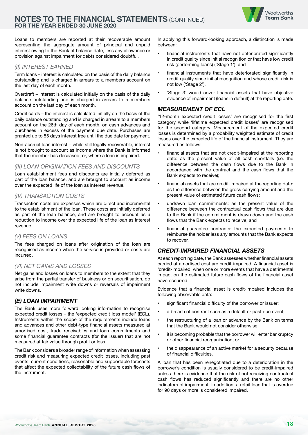



Loans to members are reported at their recoverable amount representing the aggregate amount of principal and unpaid interest owing to the Bank at balance date, less any allowance or provision against impairment for debts considered doubtful.

### *(II) INTEREST EARNED*

Term loans – interest is calculated on the basis of the daily balance outstanding and is charged in arrears to a members account on the last day of each month.

Overdraft – interest is calculated initially on the basis of the daily balance outstanding and is charged in arrears to a members account on the last day of each month.

Credit cards – the interest is calculated initially on the basis of the daily balance outstanding and is charged in arrears to a members account on the 26th day of each month, on cash advances and purchases in excess of the payment due date. Purchases are granted up to 55 days interest free until the due date for payment.

Non-accrual loan interest – while still legally recoverable, interest is not brought to account as income where the Bank is informed that the member has deceased, or, where a loan is impaired.

#### *(III) LOAN ORIGINATION FEES AND DISCOUNTS*

Loan establishment fees and discounts are initially deferred as part of the loan balance, and are brought to account as income over the expected life of the loan as interest revenue.

#### *(IV) TRANSACTION COSTS*

Transaction costs are expenses which are direct and incremental to the establishment of the loan. These costs are initially deferred as part of the loan balance, and are brought to account as a reduction to income over the expected life of the loan as interest revenue.

#### *(V) FEES ON LOANS*

The fees charged on loans after origination of the loan are recognised as income when the service is provided or costs are incurred.

#### *(VI) NET GAINS AND LOSSES*

Net gains and losses on loans to members to the extent that they arise from the partial transfer of business or on securitisation, do not include impairment write downs or reversals of impairment write downs.

#### *(E) LOAN IMPAIRMENT*

The Bank uses more forward looking information to recognise expected credit losses - the 'expected credit loss model' (ECL). Instruments within the scope of the requirements include loans and advances and other debt-type financial assets measured at amortised cost, trade receivables and loan commitments and some financial guarantee contracts (for the issuer) that are not measured at fair value through profit or loss.

The Bank considers a broader range of information when assessing credit risk and measuring expected credit losses, including past events, current conditions, reasonable and supportable forecasts that affect the expected collectability of the future cash flows of the instrument.

In applying this forward-looking approach, a distinction is made between:

- financial instruments that have not deteriorated significantly in credit quality since initial recognition or that have low credit risk (performing loans) ('Stage 1'); and
- financial instruments that have deteriorated significantly in credit quality since initial recognition and whose credit risk is not low ('Stage 2').
- 'Stage 3' would cover financial assets that have objective evidence of impairment (loans in default) at the reporting date.

#### *MEASUREMENT OF ECL*

'12-month expected credit losses' are recognised for the first category while 'lifetime expected credit losses' are recognised for the second category. Measurement of the expected credit losses is determined by a probability weighted estimate of credit losses over the expected life of the financial instrument. They are measured as follows:

- financial assets that are not credit-impaired at the reporting date: as the present value of all cash shortfalls (i.e. the difference between the cash flows due to the Bank in accordance with the contract and the cash flows that the Bank expects to receive);
- financial assets that are credit-impaired at the reporting date: as the difference between the gross carrying amount and the present value of estimated future cash flows;
- undrawn loan commitments: as the present value of the difference between the contractual cash flows that are due to the Bank if the commitment is drawn down and the cash flows that the Bank expects to receive; and
- financial guarantee contracts: the expected payments to reimburse the holder less any amounts that the Bank expects to recover.

#### *CREDIT-IMPAIRED FINANCIAL ASSETS*

At each reporting date, the Bank assesses whether financial assets carried at amortised cost are credit-impaired. A financial asset is 'credit-impaired' when one or more events that have a detrimental impact on the estimated future cash flows of the financial asset have occurred.

Evidence that a financial asset is credit-impaired includes the following observable data:

- significant financial difficulty of the borrower or issuer;
- a breach of contract such as a default or past due event;
- the restructuring of a loan or advance by the Bank on terms that the Bank would not consider otherwise;
- it is becoming probable that the borrower will enter bankruptcy or other financial reorganisation; or
- the disappearance of an active market for a security because of financial difficulties.

A loan that has been renegotiated due to a deterioration in the borrower's condition is usually considered to be credit-impaired unless there is evidence that the risk of not receiving contractual cash flows has reduced significantly and there are no other indicators of impairment. In addition, a retail loan that is overdue for 90 days or more is considered impaired.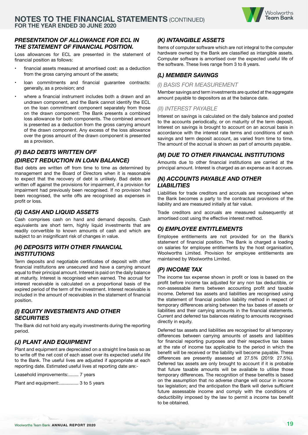#### *PRESENTATION OF ALLOWANCE FOR ECL IN THE STATEMENT OF FINANCIAL POSITION.*

Loss allowances for ECL are presented in the statement of financial position as follows:

- financial assets measured at amortised cost: as a deduction from the gross carrying amount of the assets;
- loan commitments and financial guarantee contracts: generally, as a provision; and
- where a financial instrument includes both a drawn and an undrawn component, and the Bank cannot identify the ECL on the loan commitment component separately from those on the drawn component: The Bank presents a combined loss allowance for both components. The combined amount is presented as a deduction from the gross carrying amount of the drawn component. Any excess of the loss allowance over the gross amount of the drawn component is presented as a provision.

# *(F) BAD DEBTS WRITTEN OFF (DIRECT REDUCTION IN LOAN BALANCE)*

Bad debts are written off from time to time as determined by management and the Board of Directors when it is reasonable to expect that the recovery of debt is unlikely. Bad debts are written off against the provisions for impairment, if a provision for impairment had previously been recognised. If no provision had been recognised, the write offs are recognised as expenses in profit or loss.

## *(G) CASH AND LIQUID ASSETS*

Cash comprises cash on hand and demand deposits. Cash equivalents are short term, highly liquid investments that are readily convertible to known amounts of cash and which are subject to an insignificant risk of changes in value.

#### *(H) DEPOSITS WITH OTHER FINANCIAL INSTITUTIONS*

Term deposits and negotiable certificates of deposit with other financial institutions are unsecured and have a carrying amount equal to their principal amount. Interest is paid on the daily balance at maturity. Interest is recognised when earned. The accrual for interest receivable is calculated on a proportional basis of the expired period of the term of the investment. Interest receivable is included in the amount of receivables in the statement of financial position.

### *(I) EQUITY INVESTMENTS AND OTHER SECURITIES*

The Bank did not hold any equity investments during the reporting period.

# *(J) PLANT AND EQUIPMENT*

Plant and equipment are depreciated on a straight line basis so as to write off the net cost of each asset over its expected useful life to the Bank. The useful lives are adjusted if appropriate at each reporting date. Estimated useful lives at reporting date are:-

Leasehold improvements:........ 7 years

Plant and equipment:................. 3 to 5 years

## *(K) INTANGIBLE ASSETS*

Items of computer software which are not integral to the computer hardware owned by the Bank are classified as intangible assets. Computer software is amortised over the expected useful life of the software. These lives range from 3 to 8 years.

# *(L) MEMBER SAVINGS*

#### *(I) BASIS FOR MEASUREMENT*

Member savings and term investments are quoted at the aggregate amount payable to depositors as at the balance date.

#### *(II) INTEREST PAYABLE*

Interest on savings is calculated on the daily balance and posted to the accounts periodically, or on maturity of the term deposit. Interest on savings is brought to account on an accrual basis in accordance with the interest rate terms and conditions of each savings and term deposit account, as varied from time to time. The amount of the accrual is shown as part of amounts payable.

#### *(M) DUE TO OTHER FINANCIAL INSTITUTIONS*

Amounts due to other financial institutions are carried at the principal amount. Interest is charged as an expense as it accrues.

#### *(N) ACCOUNTS PAYABLE AND OTHER LIABILITIES*

Liabilities for trade creditors and accruals are recognised when the Bank becomes a party to the contractual provisions of the liability and are measured initially at fair value.

Trade creditors and accruals are measured subsequently at amortised cost using the effective interest method.

# *O) EMPLOYEE ENTITLEMENTS*

Employee entitlements are not provided for on the Bank's statement of financial position. The Bank is charged a loading on salaries for employee entitlements by the host organisation, Woolworths Limited. Provision for employee entitlements are maintained by Woolworths Limited.

#### *(P) INCOME TAX*

The income tax expense shown in profit or loss is based on the profit before income tax adjusted for any non tax deductible, or non-assessable items between accounting profit and taxable income. Deferred tax assets and liabilities are recognised using the statement of financial position liability method in respect of temporary differences arising between the tax bases of assets or liabilities and their carrying amounts in the financial statements. Current and deferred tax balances relating to amounts recognised directly in equity.

Deferred tax assets and liabilities are recognised for all temporary differences between carrying amounts of assets and liabilities for financial reporting purposes and their respective tax bases at the rate of income tax applicable to the period in which the benefit will be received or the liability will become payable. These differences are presently assessed at 27.5% (2019: 27.5%). Deferred tax assets are only brought to account if it is probable that future taxable amounts will be available to utilise those temporary differences. The recognition of these benefits is based on the assumption that no adverse change will occur in income tax legislation; and the anticipation the Bank will derive sufficient future assessable income and comply with the conditions of deductibility imposed by the law to permit a income tax benefit to be obtained.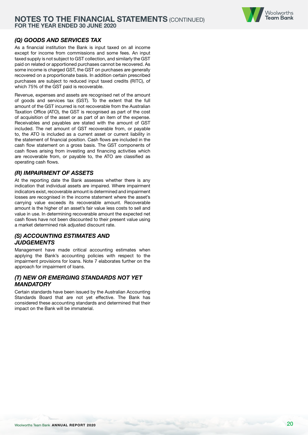

## *(Q) GOODS AND SERVICES TAX*

As a financial institution the Bank is input taxed on all income except for income from commissions and some fees. An input taxed supply is not subject to GST collection, and similarly the GST paid on related or apportioned purchases cannot be recovered. As some income is charged GST, the GST on purchases are generally recovered on a proportionate basis. In addition certain prescribed purchases are subject to reduced input taxed credits (RITC), of which 75% of the GST paid is recoverable.

Revenue, expenses and assets are recognised net of the amount of goods and services tax (GST). To the extent that the full amount of the GST incurred is not recoverable from the Australian Taxation Office (ATO), the GST is recognised as part of the cost of acquisition of the asset or as part of an item of the expense. Receivables and payables are stated with the amount of GST included. The net amount of GST recoverable from, or payable to, the ATO is included as a current asset or current liability in the statement of financial position. Cash flows are included in the cash flow statement on a gross basis. The GST components of cash flows arising from investing and financing activities which are recoverable from, or payable to, the ATO are classified as operating cash flows.

#### *(R) IMPAIRMENT OF ASSETS*

At the reporting date the Bank assesses whether there is any indication that individual assets are impaired. Where impairment indicators exist, recoverable amount is determined and impairment losses are recognised in the income statement where the asset's carrying value exceeds its recoverable amount. Recoverable amount is the higher of an asset's fair value less costs to sell and value in use. In determining recoverable amount the expected net cash flows have not been discounted to their present value using a market determined risk adjusted discount rate.

# *(S) ACCOUNTING ESTIMATES AND JUDGEMENTS*

Management have made critical accounting estimates when applying the Bank's accounting policies with respect to the impairment provisions for loans. Note 7 elaborates further on the approach for impairment of loans.

#### *(T) NEW OR EMERGING STANDARDS NOT YET MANDATORY*

Certain standards have been issued by the Australian Accounting Standards Board that are not yet effective. The Bank has considered these accounting standards and determined that their impact on the Bank will be immaterial.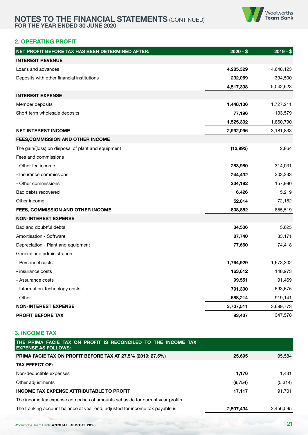

## **2. OPERATING PROFIT**

| NET PROFIT BEFORE TAX HAS BEEN DETERMINED AFTER:   | $2020 - $$ | $2019 - $$ |
|----------------------------------------------------|------------|------------|
| <b>INTEREST REVENUE</b>                            |            |            |
| Loans and advances                                 | 4,285,329  | 4,648,123  |
| Deposits with other financial institutions         | 232,069    | 394,500    |
|                                                    | 4,517,398  | 5,042,623  |
| <b>INTEREST EXPENSE</b>                            |            |            |
| Member deposits                                    | 1,448,106  | 1,727,211  |
| Short term wholesale deposits                      | 77,196     | 133,579    |
|                                                    | 1,525,302  | 1,860,790  |
| <b>NET INTEREST INCOME</b>                         | 2,992,096  | 3,181,833  |
| FEES, COMMISSION AND OTHER INCOME                  |            |            |
| The gain/(loss) on disposal of plant and equipment | (12,992)   | 2,864      |
| Fees and commissions                               |            |            |
| - Other fee income                                 | 283,980    | 314,031    |
| - Insurance commissions                            | 244,432    | 303,233    |
| - Other commissions                                | 234,192    | 157,990    |
| Bad debts recovered                                | 6,426      | 5,219      |
| Other income                                       | 52,814     | 72,182     |
| FEES, COMMISSION AND OTHER INCOME                  | 808,852    | 855,519    |
| <b>NON-INTEREST EXPENSE</b>                        |            |            |
| Bad and doubtful debts                             | 34,506     | 5,625      |
| Amortisation - Software                            | 87,740     | 83,171     |
| Depreciation - Plant and equipment                 | 77,660     | 74,418     |
| General and administration                         |            |            |
| - Personnel costs                                  | 1,764,929  | 1,673,302  |
| - insurance costs                                  | 163,612    | 148,973    |
| - Assurance costs                                  | 99,551     | 91,469     |
| - Information Technology costs                     | 791,300    | 693,675    |
| - Other                                            | 688,214    | 919,141    |
| <b>NON-INTEREST EXPENSE</b>                        | 3,707,511  | 3,689,773  |
| <b>PROFIT BEFORE TAX</b>                           | 93,437     | 347,578    |

#### **3. INCOME TAX**

| THE PRIMA FACIE TAX ON PROFIT IS RECONCILED TO THE INCOME TAX<br><b>EXPENSE AS FOLLOWS:</b> |           |           |
|---------------------------------------------------------------------------------------------|-----------|-----------|
| PRIMA FACIE TAX ON PROFIT BEFORE TAX AT 27.5% (2019: 27.5%)                                 | 25,695    | 95,584    |
| <b>TAX EFFECT OF:</b>                                                                       |           |           |
| Non-deductible expenses                                                                     | 1,176     | 1,431     |
| Other adjustments                                                                           | (9,754)   | (5,314)   |
| <b>INCOME TAX EXPENSE ATTRIBUTABLE TO PROFIT</b>                                            | 17,117    | 91,701    |
| The income tax expense comprises of amounts set aside for current year profits.             |           |           |
| The franking account balance at year end, adjusted for income tax payable is                | 2,507,434 | 2,456,595 |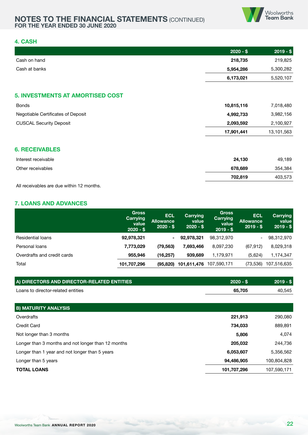

#### **4. CASH**

|                                         | $2020 - $$ | $2019 - $$ |
|-----------------------------------------|------------|------------|
| Cash on hand                            | 218,735    | 219,825    |
| Cash at banks                           | 5,954,286  | 5,300,282  |
|                                         | 6,173,021  | 5,520,107  |
|                                         |            |            |
| <b>5. INVESTMENTS AT AMORTISED COST</b> |            |            |
| <b>Bonds</b>                            | 10,815,116 | 7,018,480  |
| Negotiable Certificates of Deposit      | 4,992,733  | 3,982,156  |
| <b>CUSCAL Security Deposit</b>          | 2,093,592  | 2,100,927  |
|                                         | 17,901,441 | 13,101,563 |
| <b>6. RECEIVABLES</b>                   |            |            |
| Interest receivable                     | 24,130     | 49,189     |
| Other receivables                       | 678,689    | 354,384    |
|                                         | 702,819    | 403,573    |

All receivables are due within 12 months.

#### **7. LOANS AND ADVANCES**

|                             | <b>Gross</b><br>Carrying<br>value<br>$2020 - $$ | <b>ECL</b><br><b>Allowance</b><br>$2020 - $$ | Carrying<br>value<br>$2020 - $$ | <b>Gross</b><br>Carrying<br>value<br>$2019 - $$ | <b>ECL</b><br>Allowance<br>$2019 - $$ | Carrying<br>value<br>$2019 - $$ |
|-----------------------------|-------------------------------------------------|----------------------------------------------|---------------------------------|-------------------------------------------------|---------------------------------------|---------------------------------|
| Residential loans           | 92,978,321                                      | $\blacksquare$                               | 92,978,321                      | 98,312,970                                      | Ξ.                                    | 98,312,970                      |
| Personal loans              | 7,773,029                                       | (79, 563)                                    | 7.693.466                       | 8,097,230                                       | (67, 912)                             | 8,029,318                       |
| Overdrafts and credit cards | 955,946                                         | (16, 257)                                    | 939.689                         | 1,179,971                                       | (5,624)                               | 1,174,347                       |
| Total                       | 101,707,296                                     | (95, 820)                                    | 101,611,476                     | 107,590,171                                     | (73, 536)                             | 107,516,635                     |

| A) DIRECTORS AND DIRECTOR-RELATED ENTITIES         | $2020 - $$  | $2019 - $$  |
|----------------------------------------------------|-------------|-------------|
| Loans to director-related entities                 | 65,705      | 40,545      |
|                                                    |             |             |
| <b>B) MATURITY ANALYSIS</b>                        |             |             |
| Overdrafts                                         | 221,913     | 290,080     |
| <b>Credit Card</b>                                 | 734,033     | 889,891     |
| Not longer than 3 months                           | 5,806       | 4.074       |
| Longer than 3 months and not longer than 12 months | 205,032     | 244,736     |
| Longer than 1 year and not longer than 5 years     | 6,053,607   | 5,356,562   |
| Longer than 5 years                                | 94,486,905  | 100,804,828 |
| <b>TOTAL LOANS</b>                                 | 101,707,296 | 107,590,171 |
|                                                    |             |             |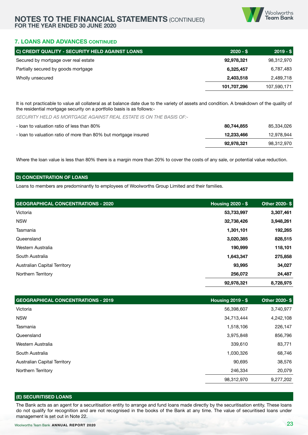

#### **7. LOANS AND ADVANCES CONTINUED**

| C) CREDIT QUALITY - SECURITY HELD AGAINST LOANS | $2020 - $$  | $2019 - $$  |
|-------------------------------------------------|-------------|-------------|
| Secured by mortgage over real estate            | 92,978,321  | 98,312,970  |
| Partially secured by goods mortgage             | 6,325,457   | 6,787,483   |
| Wholly unsecured                                | 2,403,518   | 2,489,718   |
|                                                 | 101,707,296 | 107,590,171 |

It is not practicable to value all collateral as at balance date due to the variety of assets and condition. A breakdown of the quality of the residential mortgage security on a portfolio basis is as follows:-

*SECURITY HELD AS MORTGAGE AGAINST REAL ESTATE IS ON THE BASIS OF:-*

| - loan to valuation ratio of less than 80%                      | 80.744.855 | 85.334.026 |
|-----------------------------------------------------------------|------------|------------|
| - loan to valuation ratio of more than 80% but mortgage insured | 12.233.466 | 12,978,944 |
|                                                                 | 92.978.321 | 98.312.970 |

Where the loan value is less than 80% there is a margin more than 20% to cover the costs of any sale, or potential value reduction.

#### **D) CONCENTRATION OF LOANS**

Loans to members are predominantly to employees of Woolworths Group Limited and their families.

| <b>GEOGRAPHICAL CONCENTRATIONS - 2020</b> | <b>Housing 2020 - \$</b> | Other 2020-\$ |
|-------------------------------------------|--------------------------|---------------|
| Victoria                                  | 53,733,997               | 3,307,461     |
| <b>NSW</b>                                | 32,738,426               | 3,948,261     |
| Tasmania                                  | 1,301,101                | 192,265       |
| Queensland                                | 3,020,385                | 828,515       |
| Western Australia                         | 190,999                  | 118,101       |
| South Australia                           | 1,643,347                | 275,858       |
| <b>Australian Capital Territory</b>       | 93,995                   | 34,027        |
| Northern Territory                        | 256,072                  | 24,487        |
|                                           | 92,978,321               | 8,728,975     |

| <b>GEOGRAPHICAL CONCENTRATIONS - 2019</b> | <b>Housing 2019 - \$</b> | Other 2020-\$ |
|-------------------------------------------|--------------------------|---------------|
| Victoria                                  | 56,398,607               | 3,740,977     |
| <b>NSW</b>                                | 34,713,444               | 4,242,108     |
| Tasmania                                  | 1,518,106                | 226,147       |
| Queensland                                | 3,975,848                | 856,796       |
| Western Australia                         | 339,610                  | 83,771        |
| South Australia                           | 1,030,326                | 68,746        |
| <b>Australian Capital Territory</b>       | 90,695                   | 38,576        |
| Northern Territory                        | 246,334                  | 20,079        |
|                                           | 98,312,970               | 9,277,202     |

#### **(E) SECURITISED LOANS**

The Bank acts as an agent for a securitisation entity to arrange and fund loans made directly by the securitisation entity. These loans do not qualify for recognition and are not recognised in the books of the Bank at any time. The value of securitised loans under management is set out in Note 22.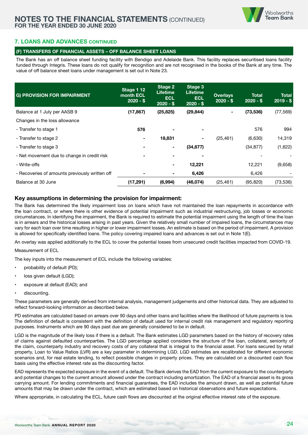#### **7. LOANS AND ADVANCES CONTINUED**

#### **(F) TRANSFERS OF FINANCIAL ASSETS – OFF BALANCE SHEET LOANS**

The Bank has an off balance sheet funding facility with Bendigo and Adelaide Bank. This facility replaces securitised loans facility funded through Integris. These loans do not qualify for recognition and are not recognised in the books of the Bank at any time. The value of off balance sheet loans under management is set out in Note 23.

| <b>G) PROVISION FOR IMPAIRMENT</b>             | Stage 112<br>month ECL<br>$2020 - $$ | Stage 2<br><b>Lifetime</b><br><b>ECL</b><br>$2020 - $$ | Stage 3<br><b>Lifetime</b><br><b>ECL</b><br>$2020 - $$ | <b>Overlays</b><br>$2020 - $$ | Total<br>$2020 - $$ | <b>Total</b><br>$2019 - $$ |
|------------------------------------------------|--------------------------------------|--------------------------------------------------------|--------------------------------------------------------|-------------------------------|---------------------|----------------------------|
| Balance at 1 July per AASB 9                   | (17, 867)                            | (25, 825)                                              | (29, 844)                                              | $\blacksquare$                | (73, 536)           | (77, 569)                  |
| Changes in the loss allowance                  |                                      |                                                        |                                                        |                               |                     |                            |
| - Transfer to stage 1                          | 576                                  |                                                        | ۰                                                      |                               | 576                 | 994                        |
| - Transfer to stage 2                          |                                      | 18,831                                                 | ۰                                                      | (25, 461)                     | (6,630)             | 14,319                     |
| - Transfer to stage 3                          |                                      |                                                        | (34, 877)                                              |                               | (34, 877)           | (1,622)                    |
| - Net movement due to change in credit risk    |                                      |                                                        |                                                        |                               |                     |                            |
| - Write-offs                                   |                                      |                                                        | 12,221                                                 |                               | 12,221              | (9,658)                    |
| - Recoveries of amounts previously written off |                                      |                                                        | 6,426                                                  |                               | 6,426               |                            |
| Balance at 30 June                             | (17, 291)                            | (6,994)                                                | (46, 074)                                              | (25, 461)                     | (95, 820)           | (73, 536)                  |

#### **Key assumptions in determining the provision for impairment:**

The Bank has determined the likely impairment loss on loans which have not maintained the loan repayments in accordance with the loan contract, or where there is other evidence of potential impairment such as industrial restructuring, job losses or economic circumstances. In identifying the impairment, the Bank is required to estimate the potential impairment using the length of time the loan is in arrears and the historical losses arising in past years. Given the relatively small number of impaired loans, the circumstances may vary for each loan over time resulting in higher or lower impairment losses. An estimate is based on the period of impairment. A provision is allowed for specifically identified loans. The policy covering impaired loans and advances is set out in Note 1(E).

An overlay was applied additionally to the ECL to cover the potential losses from unsecured credit facilities impacted from COVID-19.

Measurement of ECL

The key inputs into the measurement of ECL include the following variables:

- probability of default (PD);
- loss given default (LGD);
- exposure at default (EAD); and
- discounting.

These parameters are generally derived from internal analysis, management judgements and other historical data. They are adjusted to reflect forward-looking information as described below.

PD estimates are calculated based on arrears over 90 days and other loans and facilities where the likelihood of future payments is low. The definition of default is consistent with the definition of default used for internal credit risk management and regulatory reporting purposes. Instruments which are 90 days past due are generally considered to be in default.

LGD is the magnitude of the likely loss if there is a default. The Bank estimates LGD parameters based on the history of recovery rates of claims against defaulted counterparties. The LGD percentage applied considers the structure of the loan, collateral, seniority of the claim, counterparty industry and recovery costs of any collateral that is integral to the financial asset. For loans secured by retail property, Loan to Value Ratios (LVR) are a key parameter in determining LGD. LGD estimates are recalibrated for different economic scenarios and, for real estate lending, to reflect possible changes in property prices. They are calculated on a discounted cash flow basis using the effective interest rate as the discounting factor.

EAD represents the expected exposure in the event of a default. The Bank derives the EAD from the current exposure to the counterparty and potential changes to the current amount allowed under the contract including amortization. The EAD of a financial asset is its gross carrying amount. For lending commitments and financial guarantees, the EAD includes the amount drawn, as well as potential future amounts that may be drawn under the contract, which are estimated based on historical observations and future expectations.

Where appropriate, in calculating the ECL, future cash flows are discounted at the original effective interest rate of the exposure.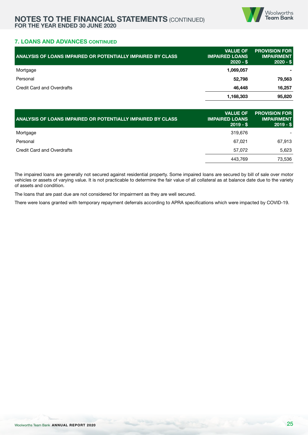

#### **7. LOANS AND ADVANCES CONTINUED**

| ANALYSIS OF LOANS IMPAIRED OR POTENTIALLY IMPAIRED BY CLASS | <b>VALUE OF</b><br><b>IMPAIRED LOANS</b><br>$2020 - $$ | <b>PROVISION FOR</b><br><b>IMPAIRMENT</b><br>$2020 - $$ |
|-------------------------------------------------------------|--------------------------------------------------------|---------------------------------------------------------|
| Mortgage                                                    | 1,069,057                                              |                                                         |
| Personal                                                    | 52,798                                                 | 79,563                                                  |
| Credit Card and Overdrafts                                  | 46,448                                                 | 16,257                                                  |
|                                                             | 1,168,303                                              | 95,820                                                  |

| <b>ANALYSIS OF LOANS IMPAIRED OR POTENTIALLY IMPAIRED BY CLASS</b> | <b>VALUE OF</b><br><b>IMPAIRED LOANS</b><br>$2019 - $$ | <b>PROVISION FOR</b><br><b>IMPAIRMENT</b><br>$2019 - $$ |
|--------------------------------------------------------------------|--------------------------------------------------------|---------------------------------------------------------|
| Mortgage                                                           | 319.676                                                |                                                         |
| Personal                                                           | 67.021                                                 | 67.913                                                  |
| Credit Card and Overdrafts                                         | 57.072                                                 | 5,623                                                   |
|                                                                    | 443.769                                                | 73,536                                                  |

The impaired loans are generally not secured against residential property. Some impaired loans are secured by bill of sale over motor vehicles or assets of varying value. It is not practicable to determine the fair value of all collateral as at balance date due to the variety of assets and condition.

The loans that are past due are not considered for impairment as they are well secured.

There were loans granted with temporary repayment deferrals according to APRA specifications which were impacted by COVID-19.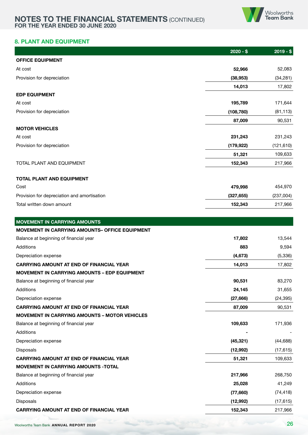

## **8. PLANT AND EQUIPMENT**

|                                                      | $2020 - $$ | $2019 - $$ |
|------------------------------------------------------|------------|------------|
| <b>OFFICE EQUIPMENT</b>                              |            |            |
| At cost                                              | 52,966     | 52,083     |
| Provision for depreciation                           | (38, 953)  | (34, 281)  |
|                                                      | 14,013     | 17,802     |
| <b>EDP EQUIPMENT</b>                                 |            |            |
| At cost                                              | 195,789    | 171,644    |
| Provision for depreciation                           | (108, 780) | (81, 113)  |
|                                                      | 87,009     | 90,531     |
| <b>MOTOR VEHICLES</b>                                |            |            |
| At cost                                              | 231,243    | 231,243    |
| Provision for depreciation                           | (179, 922) | (121, 610) |
|                                                      | 51,321     | 109,633    |
| TOTAL PLANT AND EQUIPMENT                            | 152,343    | 217,966    |
| <b>TOTAL PLANT AND EQUIPMENT</b>                     |            |            |
| Cost                                                 | 479,998    | 454,970    |
| Provision for depreciation and amortisation          | (327, 655) | (237,004)  |
| Total written down amount                            | 152,343    | 217,966    |
|                                                      |            |            |
| <b>MOVEMENT IN CARRYING AMOUNTS</b>                  |            |            |
| MOVEMENT IN CARRYING AMOUNTS- OFFICE EQUIPMENT       |            |            |
| Balance at beginning of financial year               | 17,802     | 13,544     |
| Additions                                            | 883        | 9,594      |
| Depreciation expense                                 | (4, 673)   | (5, 336)   |
| <b>CARRYING AMOUNT AT END OF FINANCIAL YEAR</b>      | 14,013     | 17,802     |
| MOVEMENT IN CARRYING AMOUNTS - EDP EQUIPMENT         |            |            |
| Balance at beginning of financial year               | 90,531     | 83,270     |
| Additions                                            | 24,145     | 31,655     |
| Depreciation expense                                 | (27, 666)  | (24, 395)  |
| <b>CARRYING AMOUNT AT END OF FINANCIAL YEAR</b>      | 87,009     | 90,531     |
| <b>MOVEMENT IN CARRYING AMOUNTS - MOTOR VEHICLES</b> |            |            |
| Balance at beginning of financial year               | 109,633    | 171,936    |
| Additions                                            |            |            |
| Depreciation expense                                 | (45, 321)  | (44, 688)  |
| Disposals                                            | (12,992)   | (17, 615)  |
| <b>CARRYING AMOUNT AT END OF FINANCIAL YEAR</b>      | 51,321     | 109,633    |
| <b>MOVEMENT IN CARRYING AMOUNTS - TOTAL</b>          |            |            |
| Balance at beginning of financial year               | 217,966    | 268,750    |
| Additions                                            | 25,028     | 41,249     |
| Depreciation expense                                 | (77,660)   | (74, 418)  |
| Disposals                                            | (12,992)   | (17, 615)  |
| <b>CARRYING AMOUNT AT END OF FINANCIAL YEAR</b>      | 152,343    | 217,966    |
|                                                      |            |            |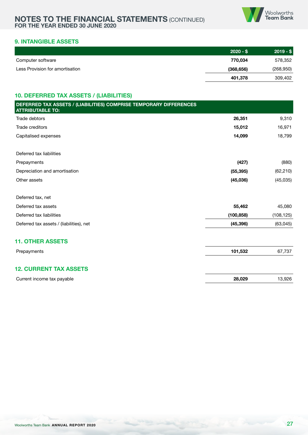

# **9. INTANGIBLE ASSETS**

|                                 | $2020 - $$ | $2019 - $$ |
|---------------------------------|------------|------------|
| Computer software               | 770.034    | 578,352    |
| Less Provision for amortisation | (368, 656) | (268, 950) |
|                                 | 401,378    | 309,402    |

#### **10. DEFERRED TAX ASSETS / (LIABILITIES)**

| DEFERRED TAX ASSETS / (LIABILITIES) COMPRISE TEMPORARY DIFFERENCES<br><b>ATTRIBUTABLE TO:</b> |            |            |
|-----------------------------------------------------------------------------------------------|------------|------------|
| Trade debtors                                                                                 | 26,351     | 9,310      |
| Trade creditors                                                                               | 15,012     | 16,971     |
| Capitalised expenses                                                                          | 14,099     | 18,799     |
| Deferred tax liabilities                                                                      |            |            |
| Prepayments                                                                                   | (427)      | (880)      |
| Depreciation and amortisation                                                                 | (55, 395)  | (62, 210)  |
| Other assets                                                                                  | (45,036)   | (45,035)   |
| Deferred tax, net                                                                             |            |            |
| Deferred tax assets                                                                           | 55,462     | 45,080     |
| Deferred tax liabilities                                                                      | (100, 858) | (108, 125) |
| Deferred tax assets / (liabilities), net                                                      | (45, 396)  | (63, 045)  |
| <b>11. OTHER ASSETS</b>                                                                       |            |            |
| Prepayments                                                                                   | 101,532    | 67,737     |
| <b>12. CURRENT TAX ASSETS</b>                                                                 |            |            |
| Current income tax payable                                                                    | 28,029     | 13,926     |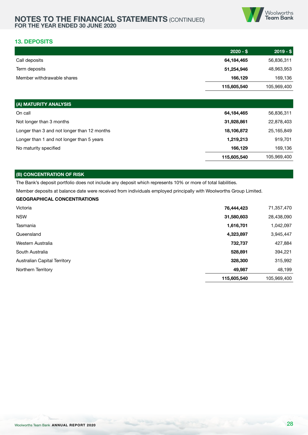

#### **13. DEPOSITS**

|                            | $2020 - $$  | $2019 - $$  |
|----------------------------|-------------|-------------|
| Call deposits              | 64,184,465  | 56,836,311  |
| Term deposits              | 51,254,946  | 48,963,953  |
| Member withdrawable shares | 166,129     | 169,136     |
|                            | 115,605,540 | 105,969,400 |

| (A) MATURITY ANALYSIS                       |             |             |
|---------------------------------------------|-------------|-------------|
| On call                                     | 64,184,465  | 56,836,311  |
| Not longer than 3 months                    | 31,928,861  | 22,878,403  |
| Longer than 3 and not longer than 12 months | 18,106,872  | 25,165,849  |
| Longer than 1 and not longer than 5 years   | 1,219,213   | 919,701     |
| No maturity specified                       | 166.129     | 169,136     |
|                                             | 115,605,540 | 105.969.400 |

#### **(B) CONCENTRATION OF RISK**

The Bank's deposit portfolio does not include any deposit which represents 10% or more of total liabilities.

Member deposits at balance date were received from individuals employed principally with Woolworths Group Limited.

#### **GEOGRAPHICAL CONCENTRATIONS**

| Victoria                     | 76,444,423  | 71,357,470  |
|------------------------------|-------------|-------------|
| <b>NSW</b>                   | 31,580,603  | 28,438,090  |
| Tasmania                     | 1,616,701   | 1,042,097   |
| Queensland                   | 4,323,897   | 3,945,447   |
| Western Australia            | 732,737     | 427,884     |
| South Australia              | 528,891     | 394,221     |
| Australian Capital Territory | 328,300     | 315,992     |
| Northern Territory           | 49,987      | 48,199      |
|                              | 115,605,540 | 105,969,400 |
|                              |             |             |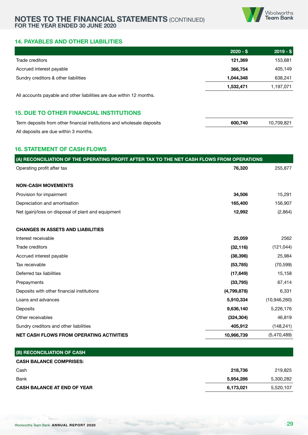

#### **14. PAYABLES AND OTHER LIABILITIES**

|                                                                      | $2020 - $$ | $2019 - $$ |
|----------------------------------------------------------------------|------------|------------|
| Trade creditors                                                      | 121,369    | 153,681    |
| Accrued interest payable                                             | 366,754    | 405,149    |
| Sundry creditors & other liabilities                                 | 1.044.348  | 638,241    |
|                                                                      | 1,532,471  | 1,197,071  |
| All accounts payable and other liabilities are due within 12 months. |            |            |

# **15. DUE TO OTHER FINANCIAL INSTITUTIONS**

| Term deposits from other financial institutions and wholesale deposits | 600.740 | 10,709,821 |
|------------------------------------------------------------------------|---------|------------|
| All deposits are due within 3 months.                                  |         |            |

#### **16. STATEMENT OF CASH FLOWS**

| (A) RECONCILIATION OF THE OPERATING PROFIT AFTER TAX TO THE NET CASH FLOWS FROM OPERATIONS |             |              |  |  |  |  |  |  |
|--------------------------------------------------------------------------------------------|-------------|--------------|--|--|--|--|--|--|
| Operating profit after tax                                                                 | 76,320      | 255,877      |  |  |  |  |  |  |
| <b>NON-CASH MOVEMENTS</b>                                                                  |             |              |  |  |  |  |  |  |
| Provision for impairment                                                                   | 34,506      | 15,291       |  |  |  |  |  |  |
| Depreciation and amortisation                                                              | 165,400     | 156,907      |  |  |  |  |  |  |
| Net (gain)/loss on disposal of plant and equipment                                         | 12,992      | (2,864)      |  |  |  |  |  |  |
| <b>CHANGES IN ASSETS AND LIABILITIES</b>                                                   |             |              |  |  |  |  |  |  |
| Interest receivable                                                                        | 25,059      | 2562         |  |  |  |  |  |  |
| Trade creditors                                                                            | (32, 116)   | (121, 044)   |  |  |  |  |  |  |
| Accrued interest payable                                                                   | (38, 396)   | 25,984       |  |  |  |  |  |  |
| Tax receivable                                                                             | (53, 785)   | (70, 599)    |  |  |  |  |  |  |
| Deferred tax liabilities                                                                   | (17, 649)   | 15,158       |  |  |  |  |  |  |
| Prepayments                                                                                | (33, 795)   | 67,414       |  |  |  |  |  |  |
| Deposits with other financial institutions                                                 | (4,799,878) | 6,331        |  |  |  |  |  |  |
| Loans and advances                                                                         | 5,910,334   | (10,946,260) |  |  |  |  |  |  |
| Deposits                                                                                   | 9,636,140   | 5,226,176    |  |  |  |  |  |  |
| Other receivables                                                                          | (324, 304)  | 46,819       |  |  |  |  |  |  |
| Sundry creditors and other liabilities                                                     | 405,912     | (148, 241)   |  |  |  |  |  |  |
| <b>NET CASH FLOWS FROM OPERATING ACTIVITIES</b>                                            | 10,966,739  | (5,470,489)  |  |  |  |  |  |  |

| (B) RECONCILIATION OF CASH         |           |           |
|------------------------------------|-----------|-----------|
| <b>CASH BALANCE COMPRISES:</b>     |           |           |
| Cash                               | 218,736   | 219,825   |
| Bank                               | 5,954,286 | 5,300,282 |
| <b>CASH BALANCE AT END OF YEAR</b> | 6,173,021 | 5,520,107 |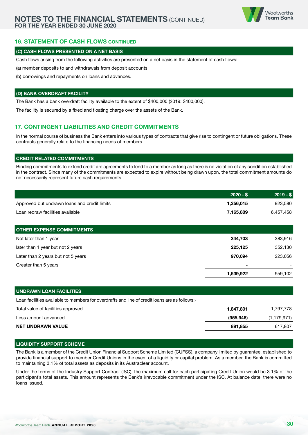

#### **16. STATEMENT OF CASH FLOWS CONTINUED**

#### **(C) CASH FLOWS PRESENTED ON A NET BASIS**

Cash flows arising from the following activities are presented on a net basis in the statement of cash flows:

(a) member deposits to and withdrawals from deposit accounts.

(b) borrowings and repayments on loans and advances.

#### **(D) BANK OVERDRAFT FACILITY**

The Bank has a bank overdraft facility available to the extent of \$400,000 (2019: \$400,000).

The facility is secured by a fixed and floating charge over the assets of the Bank.

## **17. CONTINGENT LIABILITIES AND CREDIT COMMITMENTS**

In the normal course of business the Bank enters into various types of contracts that give rise to contingent or future obligations. These contracts generally relate to the financing needs of members.

#### **CREDIT RELATED COMMITMENTS**

Binding commitments to extend credit are agreements to lend to a member as long as there is no violation of any condition established in the contract. Since many of the commitments are expected to expire without being drawn upon, the total commitment amounts do not necessarily represent future cash requirements.

| $2020 - $$ | $2019 - $$ |
|------------|------------|
| 1,256,015  | 923,580    |
| 7,165,889  | 6,457,458  |
|            |            |
|            |            |
| 344,703    | 383,916    |
| 225,125    | 352,130    |
| 970,094    | 223,056    |
| ٠          |            |
| 1,539,922  | 959,102    |
|            |            |

# **UNDRAWN LOAN FACILITIES** Loan facilities available to members for overdrafts and line of credit loans are as follows:- Total value of facilities approved **1,847,801** 1,847,801 1,847,801 1,847,801 1,847,801 1,897,778 Less amount advanced **(955,946)** (1,179,971) **NET UNDRAWN VALUE 891,855** 617,807

#### **LIQUIDITY SUPPORT SCHEME**

The Bank is a member of the Credit Union Financial Support Scheme Limited (CUFSS), a company limited by guarantee, established to provide financial support to member Credit Unions in the event of a liquidity or capital problem. As a member, the Bank is committed to maintaining 3.1% of total assets as deposits in its Austraclear account.

Under the terms of the Industry Support Contract (ISC), the maximum call for each participating Credit Union would be 3.1% of the participant's total assets. This amount represents the Bank's irrevocable commitment under the ISC. At balance date, there were no loans issued.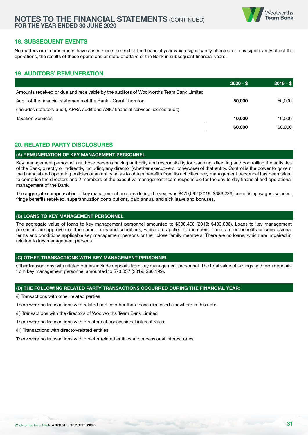

#### **18. SUBSEQUENT EVENTS**

No matters or circumstances have arisen since the end of the financial year which significantly affected or may significantly affect the operations, the results of these operations or state of affairs of the Bank in subsequent financial years.

# **19. AUDITORS' REMUNERATION**

|                                                                                        | $2020 - $$ | $2019 - $$ |
|----------------------------------------------------------------------------------------|------------|------------|
| Amounts received or due and receivable by the auditors of Woolworths Team Bank Limited |            |            |
| Audit of the financial statements of the Bank - Grant Thornton                         | 50,000     | 50.000     |
| (Includes statutory audit, APRA audit and ASIC financial services licence audit)       |            |            |
| <b>Taxation Services</b>                                                               | 10,000     | 10.000     |
|                                                                                        | 60,000     | 60,000     |

#### **20. RELATED PARTY DISCLOSURES**

#### **(A) REMUNERATION OF KEY MANAGEMENT PERSONNEL**

Key management personnel are those persons having authority and responsibility for planning, directing and controlling the activities of the Bank, directly or indirectly, including any director (whether executive or otherwise) of that entity. Control is the power to govern the financial and operating policies of an entity so as to obtain benefits from its activities. Key management personnel has been taken to comprise the directors and 2 members of the executive management team responsible for the day to day financial and operational management of the Bank.

The aggregate compensation of key management persons during the year was \$479,092 (2019: \$386,226) comprising wages, salaries, fringe benefits received, superannuation contributions, paid annual and sick leave and bonuses.

#### **(B) LOANS TO KEY MANAGEMENT PERSONNEL**

The aggregate value of loans to key management personnel amounted to \$390,468 (2019: \$433,036). Loans to key management personnel are approved on the same terms and conditions, which are applied to members. There are no benefits or concessional terms and conditions applicable key management persons or their close family members. There are no loans, which are impaired in relation to key management persons.

#### **(C) OTHER TRANSACTIONS WITH KEY MANAGEMENT PERSONNEL**

Other transactions with related parties include deposits from key management personnel. The total value of savings and term deposits from key management personnel amounted to \$73,337 (2019: \$60,199).

#### **(D) THE FOLLOWING RELATED PARTY TRANSACTIONS OCCURRED DURING THE FINANCIAL YEAR:**

(i) Transactions with other related parties

There were no transactions with related parties other than those disclosed elsewhere in this note.

(ii) Transactions with the directors of Woolworths Team Bank Limited

There were no transactions with directors at concessional interest rates.

(iii) Transactions with director-related entities

There were no transactions with director related entities at concessional interest rates.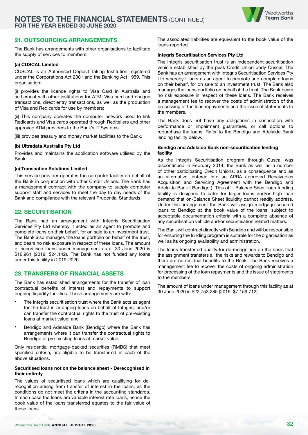

#### **21. OUTSOURCING ARRANGEMENTS**

The Bank has arrangements with other organisations to facilitate the supply of services to members.

#### **(a) CUSCAL Limited**

CUSCAL is an Authorised Deposit Taking Institution registered under the Corporations Act 2001 and the Banking Act 1959. This organisation:

(i) provides the licence rights to Visa Card in Australia and settlement with other institutions for ATM, Visa card and cheque transactions, direct entry transactions, as well as the production of Visa and Redicards for use by members;

(ii) This company operates the computer network used to link Redicards and Visa cards operated through Reditellers and other approved ATM providers to the Bank's IT Systems.

(iii) provides treasury and money market facilities to the Bank.

#### **(b) Ultradata Australia Pty Ltd**

Provides and maintains the application software utilised by the Bank.

#### **(c) Transaction Solutions Limited**

This service provider operates the computer facility on behalf of the Bank in conjunction with other Credit Unions. The Bank has a management contract with the company to supply computer support staff and services to meet the day to day needs of the Bank and compliance with the relevant Prudential Standards.

#### **22. SECURITISATION**

The Bank had an arrangement with Integris Securitisation Services Pty Ltd whereby it acted as an agent to promote and complete loans on their behalf, for on sale to an investment trust. The Bank also manages the loans portfolio on behalf of the trust, and bears no risk exposure in respect of these loans. The amount of securitised loans under management as at 30 June 2020 is \$16,961 (2019: \$24,142). The Bank has not funded any loans under this facility in 2019-2020.

#### **23. TRANSFERS OF FINANCIAL ASSETS**

The Bank has established arrangements for the transfer of loan contractual benefits of interest and repayments to support ongoing liquidity facilities. These arrangements are with:-

- The Integris securitisation trust where the Bank acts as agent for the trust in arranging loans on behalf of Integris, and/or can transfer the contractual rights to the trust of pre-existing loans at market value; and
- Bendigo and Adelaide Bank (Bendigo) where the Bank has arrangements where it can transfer the contractual rights to Bendigo of pre-existing loans at market value.

Only residential mortgage-backed securities (RMBS) that meet specified criteria, are eligible to be transferred in each of the above situations.

#### **Securitised loans not on the balance sheet - Derecognised in their entirety**

The values of securitised loans which are qualifying for derecognition arising from transfer of interest in the loans, as the conditions do not meet the criteria in the accounting standards. In each case the loans are variable interest rate loans, hence the book value of the loans transferred equates to the fair value of those loans.

The associated liabilities are equivalent to the book value of the loans reported.

#### **Integris Securitisation Services Pty Ltd**

The Integris securitisation trust is an independent securitisation vehicle established by the peak Credit Union body Cuscal. The Bank has an arrangement with Integris Securitisation Services Pty Ltd whereby it acts as an agent to promote and complete loans on their behalf, for on sale to an investment trust. The Bank also manages the loans portfolio on behalf of the trust. The Bank bears no risk exposure in respect of these loans. The Bank receives a management fee to recover the costs of administration of the processing of the loan repayments and the issue of statements to the members.

The Bank does not have any obligations in connection with performance or impairment guarantees, or call options to repurchase the loans. Refer to the Bendigo and Adelaide Bank lending facility below.

#### **Bendigo and Adelaide Bank non-securitisation lending facility**

As the Integris Securitisation program through Cuscal was discontinued in February 2014, the Bank as well as a number of other participating Credit Unions, as a consequence and as an alternative, entered into an APRA approved Receivables Acquisition and Servicing Agreement with the Bendigo and Adelaide Bank ( Bendigo ). This off - Balance Sheet loan funding facility is designed to cater for larger loans and/or high loan demand that on-Balance Sheet liquidity cannot readily address. Under this arrangement the Bank will assign mortgage secured loans to Bendigo at the book value of the loans, subject to acceptable documentation criteria with a complete absence of any securitisation vehicle and/or securitisation related matters.

The Bank will contract directly with Bendigo and will be responsible for ensuring the funding program is suitable for the organisation as well as its ongoing availability and administration.

The loans transferred qualify for de-recognition on the basis that the assignment transfers all the risks and rewards to Bendigo and there are no residual benefits to the Bnak. The Bank receives a management fee to recover the costs of ongoing administration for processing of the loan repayments and the issue of statements to the members.

The amount of loans under management through this facility as at 30 June 2020 is \$22,753,285 (2019: \$7,159,712).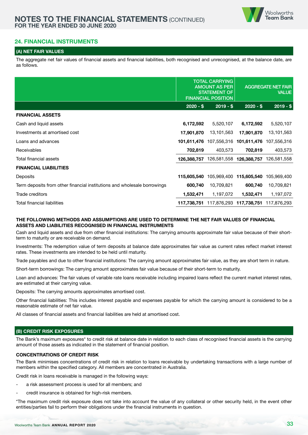

#### **24. FINANCIAL INSTRUMENTS**

#### **(A) NET FAIR VALUES**

The aggregate net fair values of financial assets and financial liabilities, both recognised and unrecognised, at the balance date, are as follows.

|                                                                          |             | <b>TOTAL CARRYING</b><br><b>AMOUNT AS PER</b><br><b>STATEMENT OF</b><br><b>FINANCIAL POSITION</b> | <b>AGGREGATE NET FAIR</b><br><b>VALUE</b> |             |  |
|--------------------------------------------------------------------------|-------------|---------------------------------------------------------------------------------------------------|-------------------------------------------|-------------|--|
|                                                                          | $2020 - $$  | $2019 - $$                                                                                        | $2020 - $$                                | $2019 - $$  |  |
| <b>FINANCIAL ASSETS</b>                                                  |             |                                                                                                   |                                           |             |  |
| Cash and liquid assets                                                   | 6,172,592   | 5,520,107                                                                                         | 6,172,592                                 | 5,520,107   |  |
| Investments at amortised cost                                            | 17,901,870  | 13,101,563                                                                                        | 17,901,870                                | 13,101,563  |  |
| Loans and advances                                                       | 101.611.476 |                                                                                                   | 107,556,316 101,611,476                   | 107,556,316 |  |
| <b>Receivables</b>                                                       | 702,819     | 403,573                                                                                           | 702,819                                   | 403,573     |  |
| Total financial assets                                                   | 126,388,757 | 126,581,558                                                                                       | 126,388,757                               | 126,581,558 |  |
| <b>FINANCIAL LIABILITIES</b>                                             |             |                                                                                                   |                                           |             |  |
| <b>Deposits</b>                                                          | 115,605,540 |                                                                                                   | 105,969,400 115,605,540                   | 105,969,400 |  |
| Term deposits from other financial institutions and wholesale borrowings | 600,740     | 10,709,821                                                                                        | 600,740                                   | 10,709,821  |  |
| Trade creditors                                                          | 1,532,471   | 1,197,072                                                                                         | 1,532,471                                 | 1,197,072   |  |
| Total financial liabilities                                              |             |                                                                                                   | 117,738,751 117,876,293 117,738,751       | 117,876,293 |  |

#### **THE FOLLOWING METHODS AND ASSUMPTIONS ARE USED TO DETERMINE THE NET FAIR VALUES OF FINANCIAL ASSETS AND LIABILITIES RECOGNISED IN FINANCIAL INSTRUMENTS**

Cash and liquid assets and due from other financial institutions: The carrying amounts approximate fair value because of their shortterm to maturity or are receivable on demand.

Investments: The redemption value of term deposits at balance date approximates fair value as current rates reflect market interest rates. These investments are intended to be held until maturity.

Trade payables and due to other financial institutions: The carrying amount approximates fair value, as they are short term in nature.

Short-term borrowings: The carrying amount approximates fair value because of their short-term to maturity.

Loan and advances: The fair values of variable rate loans receivable including impaired loans reflect the current market interest rates, are estimated at their carrying value.

Deposits: The carrying amounts approximates amortised cost.

Other financial liabilities: This includes interest payable and expenses payable for which the carrying amount is considered to be a reasonable estimate of net fair value.

All classes of financial assets and financial liabilities are held at amortised cost.

#### **(B) CREDIT RISK EXPOSURES**

The Bank's maximum exposures\* to credit risk at balance date in relation to each class of recognised financial assets is the carrying amount of those assets as indicated in the statement of financial position.

#### **CONCENTRATIONS OF CREDIT RISK**

The Bank minimises concentrations of credit risk in relation to loans receivable by undertaking transactions with a large number of members within the specified category. All members are concentrated in Australia.

Credit risk in loans receivable is managed in the following ways:

- a risk assessment process is used for all members; and
- credit insurance is obtained for high-risk members.

\*The maximum credit risk exposure does not take into account the value of any collateral or other security held, in the event other entities/parties fail to perform their obligations under the financial instruments in question.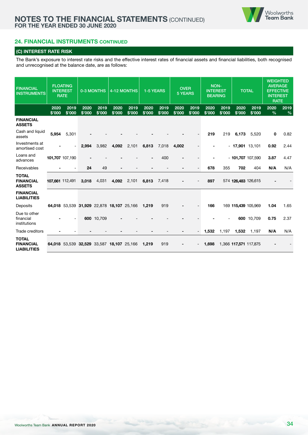# **24. FINANCIAL INSTRUMENTS CONTINUED**

#### **(C) INTEREST RATE RISK**

The Bank's exposure to interest rate risks and the effective interest rates of financial assets and financial liabilities, both recognised and unrecognised at the balance date, are as follows:

| <b>FINANCIAL</b><br><b>INSTRUMENTS</b>                 |                 | <b>FLOATING</b><br><b>INTEREST</b><br><b>RATE</b> |                | 0-3 MONTHS     |                | 4-12 MONTHS    | 1-5 YEARS      |                | <b>OVER</b><br><b>5 YEARS</b> |                | <b>NON-</b><br><b>INTEREST</b><br><b>BEARING</b> |                |                       | <b>TOTAL</b>       | <b>WEIGHTED</b><br><b>AVERAGE</b><br><b>EFFECTIVE</b><br><b>INTEREST</b><br><b>RATE</b> |           |
|--------------------------------------------------------|-----------------|---------------------------------------------------|----------------|----------------|----------------|----------------|----------------|----------------|-------------------------------|----------------|--------------------------------------------------|----------------|-----------------------|--------------------|-----------------------------------------------------------------------------------------|-----------|
|                                                        | 2020<br>\$'000  | 2019<br>\$'000                                    | 2020<br>\$'000 | 2019<br>\$'000 | 2020<br>\$'000 | 2019<br>\$'000 | 2020<br>\$'000 | 2019<br>\$'000 | 2020<br>\$'000                | 2019<br>\$'000 | 2020<br>\$'000                                   | 2019<br>\$'000 | 2020<br>\$'000        | 2019<br>\$'000     | 2020<br>$\frac{0}{0}$                                                                   | 2019<br>% |
| <b>FINANCIAL</b><br><b>ASSETS</b>                      |                 |                                                   |                |                |                |                |                |                |                               |                |                                                  |                |                       |                    |                                                                                         |           |
| Cash and liquid<br>assets                              | 5.954           | 5,301                                             |                |                |                |                |                |                |                               |                | 219                                              | 219            | 6,173                 | 5,520              | 0                                                                                       | 0.82      |
| Investments at<br>amortised cost                       |                 |                                                   | 2,994          | 3,982          | 4,092          | 2,101          | 6,813          | 7,018          | 4,002                         |                |                                                  |                | $-17,901$ 13,101      |                    | 0.92                                                                                    | 2.44      |
| Loans and<br>advances                                  |                 | 101,707 107,190                                   |                |                |                |                |                | 400            |                               |                |                                                  |                |                       | $-101,707$ 107,590 | 3.87                                                                                    | 4.47      |
| Receivables                                            |                 |                                                   | 24             | 49             |                |                |                |                |                               |                | 678                                              | 355            | 702                   | 404                | N/A                                                                                     | N/A       |
| <b>TOTAL</b><br><b>FINANCIAL</b><br><b>ASSETS</b>      | 107,661 112,491 |                                                   | 3,018          | 4,031          | 4,092          | 2,101          | 6,813          | 7,418          |                               |                | 897                                              |                | 574 126,483 126,615   |                    |                                                                                         |           |
| <b>FINANCIAL</b><br><b>LIABILITIES</b>                 |                 |                                                   |                |                |                |                |                |                |                               |                |                                                  |                |                       |                    |                                                                                         |           |
| Deposits                                               |                 | 64,018 53,539 31,929 22,878 18,107 25,166         |                |                |                |                | 1,219          | 919            |                               |                | 166                                              |                | 169 115,439 105,969   |                    | 1.04                                                                                    | 1.65      |
| Due to other<br>financial<br>institutions              |                 |                                                   |                | 600 10,709     |                |                |                |                |                               |                |                                                  |                |                       | 600 10,709         | 0.75                                                                                    | 2.37      |
| Trade creditors                                        |                 |                                                   |                |                |                |                |                |                |                               |                | 1,532                                            | 1,197          | 1,532                 | 1,197              | N/A                                                                                     | N/A       |
| <b>TOTAL</b><br><b>FINANCIAL</b><br><b>LIABILITIES</b> |                 | 64,018 53,539 32,529 33,587 18,107 25,166         |                |                |                |                | 1,219          | 919            |                               |                | 1,698                                            |                | 1,366 117,571 117,875 |                    |                                                                                         |           |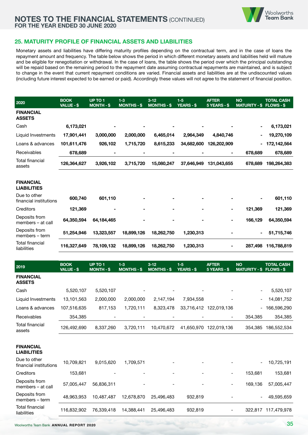

#### **25. MATURITY PROFILE OF FINANCIAL ASSETS AND LIABILITIES**

Monetary assets and liabilities have differing maturity profiles depending on the contractual term, and in the case of loans the repayment amount and frequency. The table below shows the period in which different monetary assets and liabilities held will mature and be eligible for renegotiation or withdrawal. In the case of loans, the table shows the period over which the principal outstanding will be repaid based on the remaining period to the repayment date assuming contractual repayments are maintained, and is subject to change in the event that current repayment conditions are varied. Financial assets and liabilities are at the undiscounted values (including future interest expected to be earned or paid). Accordingly these values will not agree to the statement of financial position.

| 2020                                   | <b>BOOK</b><br>VALUE - \$ | UP TO 1<br><b>MONTH-\$</b> | $1 - 3$<br><b>MONTHS - \$</b> | $3 - 12$<br><b>MONTHS - \$</b> | $1-5$<br><b>YEARS - \$</b> | <b>AFTER</b><br>$5$ YEARS - \$ | <b>NO</b><br>MATURITY - \$ FLOWS - \$ | <b>TOTAL CASH</b> |
|----------------------------------------|---------------------------|----------------------------|-------------------------------|--------------------------------|----------------------------|--------------------------------|---------------------------------------|-------------------|
| <b>FINANCIAL</b><br><b>ASSETS</b>      |                           |                            |                               |                                |                            |                                |                                       |                   |
| Cash                                   | 6,173,021                 |                            |                               | -                              |                            |                                | $\blacksquare$                        | 6,173,021         |
| Liquid Investments                     | 17,901,441                | 3,000,000                  | 2,000,000                     | 6,465,014                      | 2,964,349                  | 4,840,746                      | ٠                                     | 19,270,109        |
| Loans & advances                       | 101,611,476               | 926,102                    | 1,715,720                     | 8,615,233                      | 34,682,600                 | 126,202,909                    | Ξ.                                    | 172,142,564       |
| Receivables                            | 678,689                   |                            |                               | $\blacksquare$                 |                            | $\blacksquare$                 | 678,689                               | 678,689           |
| Total financial<br>assets              | 126,364,627               | 3,926,102                  | 3,715,720                     | 15,080,247                     | 37,646,949                 | 131,043,655                    | 678,689                               | 198,264,383       |
| <b>FINANCIAL</b><br><b>LIABILITIES</b> |                           |                            |                               |                                |                            |                                |                                       |                   |
| Due to other<br>financial institutions | 600,740                   | 601,110                    |                               | $\blacksquare$                 |                            |                                | ٠                                     | 601,110           |
| Creditors                              | 121,369                   |                            | $\blacksquare$                | ۰                              |                            | ۰                              | 121,369                               | 121,369           |

| Deposits from<br>members – at call | 64,350,594  | 64.184.465 | ٠          | ٠          | ٠         | ۰                        | 166.129 | 64.350.594          |
|------------------------------------|-------------|------------|------------|------------|-----------|--------------------------|---------|---------------------|
| Deposits from<br>members – term    | 51.254.946  | 13.323.557 | 18,899,126 | 18.262.750 | 1.230.313 | $\blacksquare$           |         | 51,715,746          |
| Total financial<br>liabilities     | 116.327.649 | 78,109,132 | 18,899,126 | 18,262,750 | 1.230.313 | $\overline{\phantom{a}}$ |         | 287,498 116,788,819 |

| 2019                                   | <b>BOOK</b><br>VALUE - \$ | UP TO 1<br><b>MONTH-\$</b> | $1 - 3$<br><b>MONTHS - \$</b> | $3 - 12$<br><b>MONTHS-S</b> | $1-5$<br><b>YEARS-\$</b> | <b>AFTER</b><br>5 YEARS - \$ | <b>NO</b><br><b>MATURITY - \$</b> | <b>TOTAL CASH</b><br><b>FLOWS - \$</b> |
|----------------------------------------|---------------------------|----------------------------|-------------------------------|-----------------------------|--------------------------|------------------------------|-----------------------------------|----------------------------------------|
| <b>FINANCIAL</b><br><b>ASSETS</b>      |                           |                            |                               |                             |                          |                              |                                   |                                        |
| Cash                                   | 5,520,107                 | 5,520,107                  |                               |                             |                          |                              |                                   | 5,520,107                              |
| Liquid Investments                     | 13,101,563                | 2,000,000                  | 2,000,000                     | 2,147,194                   | 7,934,558                |                              | -                                 | 14,081,752                             |
| Loans & advances                       | 107,516,635               | 817,153                    | 1,720,111                     | 8,323,478                   | 33,716,412               | 122,019,136                  | -                                 | 166,596,290                            |
| Receivables                            | 354,385                   |                            |                               |                             |                          | $\qquad \qquad -$            | 354,385                           | 354,385                                |
| <b>Total financial</b><br>assets       | 126,492,690               | 8,337,260                  | 3,720,111                     | 10,470,672                  | 41,650,970               | 122,019,136                  | 354.385                           | 186,552,534                            |
| <b>FINANCIAL</b><br><b>LIABILITIES</b> |                           |                            |                               |                             |                          |                              |                                   |                                        |
| Due to other<br>financial institutions | 10,709,821                | 9,015,620                  | 1,709,571                     |                             |                          |                              |                                   | 10,725,191                             |
| Creditors                              | 153,681                   |                            |                               |                             |                          | $\overline{\phantom{a}}$     | 153,681                           | 153,681                                |
| Deposits from<br>members - at call     | 57,005,447                | 56,836,311                 |                               |                             |                          | $\qquad \qquad -$            | 169,136                           | 57,005,447                             |
| Deposits from<br>members - term        | 48,963,953                | 10,487,487                 | 12,678,870                    | 25,496,483                  | 932,819                  |                              |                                   | 49,595,659                             |
| <b>Total financial</b><br>liabilities  | 116,832,902               | 76,339,418                 | 14,388,441                    | 25,496,483                  | 932,819                  |                              | 322,817                           | 117,479,978                            |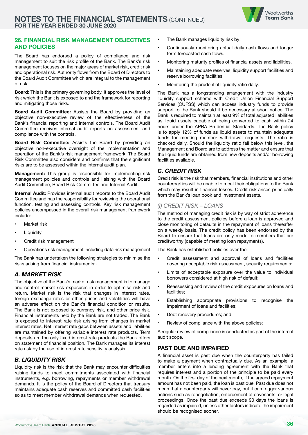

#### **26. FINANCIAL RISK MANAGEMENT OBJECTIVES AND POLICIES**

The Board has endorsed a policy of compliance and risk management to suit the risk profile of the Bank. The Bank's risk management focuses on the major areas of market risk, credit risk and operational risk. Authority flows from the Board of Directors to the Board Audit Committee which are integral to the management of risk.

**Board:** This is the primary governing body. It approves the level of risk which the Bank is exposed to and the framework for reporting and mitigating those risks.

**Board Audit Committee:** Assists the Board by providing an objective non-executive review of the effectiveness of the Bank's financial reporting and internal controls. The Board Audit Committee receives internal audit reports on assessment and compliance with the controls.

**Board Risk Committee:** Assists the Board by providing an objective non-executive oversight of the implementation and operation of the Bank's risk management framework. The Board Risk Committee also considers and confirms that the significant risks are to be assessed within the internal audit plan.

**Management:** This group is responsible for implementing risk management policies and controls and liaising with the Board Audit Committee, Board Risk Committee and Internal Audit.

**Internal Audit:** Provides internal audit reports to the Board Audit Committee and has the responsibility for reviewing the operational function, testing and assessing controls. Key risk management policies encompassed in the overall risk management framework include:-

- Market risk
- **Liquidity**
- Credit risk management
- Operations risk management including data risk management

The Bank has undertaken the following strategies to minimise the risks arising from financial instruments:-

#### *A. MARKET RISK*

The objective of the Bank's market risk management is to manage and control market risk exposures in order to optimise risk and return. Market risk is the risk that changes in interest rates, foreign exchange rates or other prices and volatilities will have an adverse effect on the Bank's financial condition or results. The Bank is not exposed to currency risk, and other price risk. Financial instruments held by the Bank are not traded. The Bank is exposed to interest rate risk arising from changes in market interest rates. Net interest rate gaps between assets and liabilities are maintained by offering variable interest rate products. Term deposits are the only fixed interest rate products the Bank offers on statement of financial position. The Bank manages its interest rate risk by the use of interest rate sensitivity analysis.

# *B. LIQUIDITY RISK*

Liquidity risk is the risk that the Bank may encounter difficulties raising funds to meet commitments associated with financial instruments, e.g. borrowing, repayments or member withdrawal demands. It is the policy of the Board of Directors that treasury maintains adequate cash reserves and committed cash facilities so as to meet member withdrawal demands when requested.

- The Bank manages liquidity risk by:
- Continuously monitoring actual daily cash flows and longer term forecasted cash flows.
- Monitoring maturity profiles of financial assets and liabilities.
- Maintaining adequate reserves, liquidity support facilities and reserve borrowing facilities
- Monitoring the prudential liquidity ratio daily.

The Bank has a longstanding arrangement with the industry liquidity support scheme with Credit Union Financial Support Services (CUFSS) which can access industry funds to provide support to the Bank should it be necessary at short notice. The Bank is required to maintain at least 9% of total adjusted liabilities as liquid assets capable of being converted to cash within 24 hours under the APRA Prudential Standards. The Bank policy is to apply 12% of funds as liquid assets to maintain adequate funds for meeting member withdrawal requests. The ratio is checked daily. Should the liquidity ratio fall below this level, the Management and Board are to address the matter and ensure that the liquid funds are obtained from new deposits and/or borrowing facilities available.

#### *C. CREDIT RISK*

Credit risk is the risk that members, financial institutions and other counterparties will be unable to meet their obligations to the Bank which may result in financial losses. Credit risk arises principally from the Bank's loan book and investment assets.

#### *(I) CREDIT RISK – LOANS*

The method of managing credit risk is by way of strict adherence to the credit assessment policies before a loan is approved and close monitoring of defaults in the repayment of loans thereafter on a weekly basis. The credit policy has been endorsed by the Board to ensure that loans are only made to members that are creditworthy (capable of meeting loan repayments).

The Bank has established policies over the:

- Credit assessment and approval of loans and facilities covering acceptable risk assessment, security requirements;
- Limits of acceptable exposure over the value to individual borrowers considered at high risk of default;
- Reassessing and review of the credit exposures on loans and facilities;
- Establishing appropriate provisions to recognise the impairment of loans and facilities;
- Debt recovery procedures; and
- Review of compliance with the above policies;

A regular review of compliance is conducted as part of the internal audit scope.

#### **PAST DUE AND IMPAIRED**

A financial asset is past due when the counterparty has failed to make a payment when contractually due. As an example, a member enters into a lending agreement with the Bank that requires interest and a portion of the principle to be paid every month. On the first day of the next month, if the agreed repayment amount has not been paid, the loan is past due. Past due does not mean that a counterparty will never pay, but it can trigger various actions such as renegotiation, enforcement of covenants, or legal proceedings. Once the past due exceeds 90 days the loans is regarded as impaired, unless other factors indicate the impairment should be recognised sooner.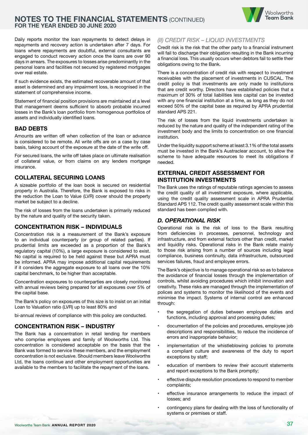

Daily reports monitor the loan repayments to detect delays in repayments and recovery action is undertaken after 7 days. For loans where repayments are doubtful, external consultants are engaged to conduct recovery action once the loans are over 90 days in arrears. The exposures to losses arise predominantly in the personal loans and facilities not secured by registered mortgages over real estate.

If such evidence exists, the estimated recoverable amount of that asset is determined and any impairment loss, is recognised in the statement of comprehensive income.

Statement of financial position provisions are maintained at a level that management deems sufficient to absorb probable incurred losses in the Bank's loan portfolio from homogenous portfolios of assets and individually identified loans.

#### **BAD DEBTS**

Amounts are written off when collection of the loan or advance is considered to be remote. All write offs are on a case by case basis, taking account of the exposure at the date of the write off.

For secured loans, the write off takes place on ultimate realisation of collateral value, or from claims on any lenders mortgage insurance.

#### **COLLATERAL SECURING LOANS**

A sizeable portfolio of the loan book is secured on residential property in Australia. Therefore, the Bank is exposed to risks in the reduction the Loan to Value (LVR) cover should the property market be subject to a decline.

The risk of losses from the loans undertaken is primarily reduced by the nature and quality of the security taken.

#### **CONCENTRATION RISK – INDIVIDUALS**

Concentration risk is a measurement of the Bank's exposure to an individual counterparty (or group of related parties). If prudential limits are exceeded as a proportion of the Bank's regulatory capital (10%), a large exposure is considered to exist. No capital is required to be held against these but APRA must be informed. APRA may impose additional capital requirements if it considers the aggregate exposure to all loans over the 10% capital benchmark, to be higher than acceptable.

Concentration exposures to counterparties are closely monitored with annual reviews being prepared for all exposures over 5% of the capital base.

The Bank's policy on exposures of this size is to insist on an initial Loan to Valuation ratio (LVR) up to least 80% and

bi-annual reviews of compliance with this policy are conducted.

#### **CONCENTRATION RISK – INDUSTRY**

The Bank has a concentration in retail lending for members who comprise employees and family of Woolworths Ltd. This concentration is considered acceptable on the basis that the Bank was formed to service these members, and the employment concentration is not exclusive. Should members leave Woolworths Ltd, the loans continue and other employment opportunities are available to the members to facilitate the repayment of the loans.

#### *(II) CREDIT RISK – LIQUID INVESTMENTS*

Credit risk is the risk that the other party to a financial instrument will fail to discharge their obligation resulting in the Bank incurring a financial loss. This usually occurs when debtors fail to settle their obligations owing to the Bank.

There is a concentration of credit risk with respect to investment receivables with the placement of investments in CUSCAL. The credit policy is that investments are only made to institutions that are credit worthy. Directors have established policies that a maximum of 30% of total liabilities less capital can be invested with any one financial institution at a time, as long as they do not exceed 50% of the capital base as required by APRA prudential standard APS 221.

The risk of losses from the liquid investments undertaken is reduced by the nature and quality of the independent rating of the investment body and the limits to concentration on one financial institution.

Under the liquidity support scheme at least 3.1% of the total assets must be invested in the Bank's Austraclear account, to allow the scheme to have adequate resources to meet its obligations if needed.

#### **EXTERNAL CREDIT ASSESSMENT FOR INSTITUTION INVESTMENTS**

The Bank uses the ratings of reputable ratings agencies to assess the credit quality of all investment exposure, where applicable, using the credit quality assessment scale in APRA Prudential Standard APS 112. The credit quality assessment scale within this standard has been complied with.

#### *D. OPERATIONAL RISK*

Operational risk is the risk of loss to the Bank resulting from deficiencies in processes, personnel, technology and infrastructure, and from external factors other than credit, market and liquidity risks. Operational risks in the Bank relate mainly to those risk arising from a number of sources including legal compliance, business continuity, data infrastructure, outsourced services failures, fraud and employee errors.

The Bank's objective is to manage operational risk so as to balance the avoidance of financial losses through the implementation of controls, whilst avoiding procedures which inhibit innovation and creativity. These risks are managed through the implementation of polices and systems to monitor the likelihood of the events and minimise the impact. Systems of internal control are enhanced through:

- the segregation of duties between employee duties and functions, including approval and processing duties;
- documentation of the policies and procedures, employee job descriptions and responsibilities, to reduce the incidence of errors and inappropriate behavior;
- implementation of the whistleblowing policies to promote a compliant culture and awareness of the duty to report exceptions by staff;
- education of members to review their account statements and report exceptions to the Bank promptly;
- effective dispute resolution procedures to respond to member complaints;
- effective insurance arrangements to reduce the impact of losses; and
- contingency plans for dealing with the loss of functionality of systems or premises or staff.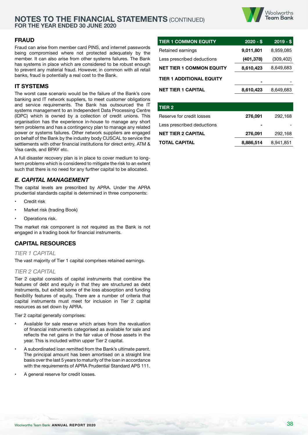

#### **FRAUD**

Fraud can arise from member card PINS, and internet passwords being compromised where not protected adequately by the member. It can also arise from other systems failures. The Bank has systems in place which are considered to be robust enough to prevent any material fraud. However, in common with all retail banks, fraud is potentially a real cost to the Bank.

## **IT SYSTEMS**

The worst case scenario would be the failure of the Bank's core banking and IT network suppliers, to meet customer obligations and service requirements. The Bank has outsourced the IT systems management to an Independent Data Processing Centre (IDPC) which is owned by a collection of credit unions. This organisation has the experience in-house to manage any short term problems and has a contingency plan to manage any related power or systems failures. Other network suppliers are engaged on behalf of the Bank by the industry body CUSCAL to service the settlements with other financial institutions for direct entry, ATM & Visa cards, and BPAY etc.

A full disaster recovery plan is in place to cover medium to longterm problems which is considered to mitigate the risk to an extent such that there is no need for any further capital to be allocated.

#### *E. CAPITAL MANAGEMENT*

The capital levels are prescribed by APRA. Under the APRA prudential standards capital is determined in three components:

- **Credit risk**
- Market risk (trading Book)
- Operations risk.

The market risk component is not required as the Bank is not engaged in a trading book for financial instruments.

#### **CAPITAL RESOURCES**

*TIER 1 CAPITAL*

The vast majority of Tier 1 capital comprises retained earnings.

#### *TIER 2 CAPITAL*

Tier 2 capital consists of capital instruments that combine the features of debt and equity in that they are structured as debt instruments, but exhibit some of the loss absorption and funding flexibility features of equity. There are a number of criteria that capital instruments must meet for inclusion in Tier 2 capital resources as set down by APRA.

Tier 2 capital generally comprises:

- Available for sale reserve which arises from the revaluation of financial instruments categorised as available for sale and reflects the net gains in the fair value of those assets in the year. This is included within upper Tier 2 capital.
- A subordinated loan remitted from the Bank's ultimate parent. The principal amount has been amortised on a straight line basis over the last 5 years to maturity of the loan in accordance with the requirements of APRA Prudential Standard APS 111.
- A general reserve for credit losses.

| <b>TIER 1 COMMON EQUITY</b>     | $2020 - $$ | $2019 - $$ |
|---------------------------------|------------|------------|
| Retained earnings               | 9,011,801  | 8,959,085  |
| Less prescribed deductions      | (401, 378) | (309, 402) |
| <b>NET TIER 1 COMMON EQUITY</b> | 8,610,423  | 8,649,683  |
| <b>TIER 1 ADDITIONAL EQUITY</b> |            |            |
| <b>NET TIER 1 CAPITAL</b>       | 8,610,423  | 8.649.683  |

| TIER <sub>2</sub>          |           |           |
|----------------------------|-----------|-----------|
| Reserve for credit losses  | 276,091   | 292,168   |
| Less prescribed deductions |           |           |
| <b>NET TIER 2 CAPITAL</b>  | 276,091   | 292,168   |
| <b>TOTAL CAPITAL</b>       | 8,886,514 | 8,941,851 |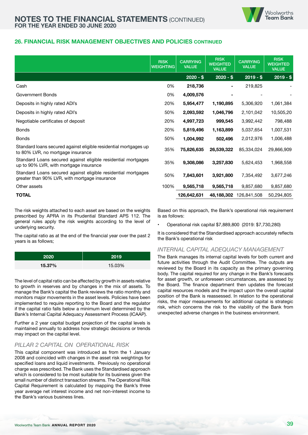

#### **26. FINANCIAL RISK MANAGEMENT OBJECTIVES AND POLICIES CONTINUED**

|                                                                                                                | <b>RISK</b><br><b>WEIGHTING</b> | <b>CARRYING</b><br><b>VALUE</b> | <b>RISK</b><br><b>WEIGHTED</b><br><b>VALUE</b> | <b>CARRYING</b><br><b>VALUE</b> | <b>RISK</b><br><b>WEIGHTED</b><br><b>VALUE</b> |
|----------------------------------------------------------------------------------------------------------------|---------------------------------|---------------------------------|------------------------------------------------|---------------------------------|------------------------------------------------|
|                                                                                                                |                                 | $2020 - $$                      | $2020 - $$                                     | $2019 - $$                      | $2019 - $$                                     |
| Cash                                                                                                           | 0%                              | 218,736                         |                                                | 219,825                         |                                                |
| Government Bonds                                                                                               | 0%                              | 4,009,576                       |                                                |                                 |                                                |
| Deposits in highly rated ADI's                                                                                 | 20%                             | 5,954,477                       | 1,190,895                                      | 5,306,920                       | 1,061,384                                      |
| Deposits in highly rated ADI's                                                                                 | 50%                             | 2,093,592                       | 1,046,796                                      | 2,101,042                       | 10,505,20                                      |
| Negotiable certificates of deposit                                                                             | 20%                             | 4,997,723                       | 999,545                                        | 3,992,442                       | 798,488                                        |
| <b>Bonds</b>                                                                                                   | 20%                             | 5,819,496                       | 1,163,899                                      | 5,037,654                       | 1,007,531                                      |
| <b>Bonds</b>                                                                                                   | 50%                             | 1,004,992                       | 502,496                                        | 2,012,976                       | 1,006,488                                      |
| Standard loans secured against eligible residential mortgages up<br>to 80% LVR, no mortgage insurance          | 35%                             | 75,826,635                      | 26,539,322                                     | 85,334,024                      | 29,866,909                                     |
| Standard Loans secured against eligible residential mortgages<br>up to 90% LVR, with mortgage insurance        | 35%                             | 9,308,086                       | 3,257,830                                      | 5,624,453                       | 1,968,558                                      |
| Standard Loans secured against eligible residential mortgages<br>greater than 90% LVR, with mortgage insurance | 50%                             | 7,843,601                       | 3,921,800                                      | 7,354,492                       | 3,677,246                                      |
| Other assets                                                                                                   | 100%                            | 9,565,718                       | 9,565,718                                      | 9,857,680                       | 9,857,680                                      |
| <b>TOTAL</b>                                                                                                   |                                 | 126,642,631                     | 48,188,302                                     | 126,841,508                     | 50,294,805                                     |

The risk weights attached to each asset are based on the weights prescribed by APRA in its Prudential Standard APS 112. The general rules apply the risk weights according to the level of underlying security.

The capital ratio as at the end of the financial year over the past 2 years is as follows;

| 2020   | 2019   |
|--------|--------|
| 15.37% | 15.03% |

The level of capital ratio can be affected by growth in assets relative to growth in reserves and by changes in the mix of assets. To manage the Bank's capital the Bank reviews the ratio monthly and monitors major movements in the asset levels. Policies have been implemented to require reporting to the Board and the regulator if the capital ratio falls below a minimum level determined by the Bank's Internal Capital Adequacy Assessment Process (ICAAP).

Further a 2 year capital budget projection of the capital levels is maintained annually to address how strategic decisions or trends may impact on the capital level.

#### *PILLAR 2 CAPITAL ON OPERATIONAL RISK*

This capital component was introduced as from the 1 January 2008 and coincided with changes in the asset risk weightings for specified loans and liquid investments. Previously no operational charge was prescribed. The Bank uses the Standardised approach which is considered to be most suitable for its business given the small number of distinct transaction streams. The Operational Risk Capital Requirement is calculated by mapping the Bank's three year average net interest income and net non-interest income to the Bank's various business lines.

Based on this approach, the Bank's operational risk requirement is as follows:

• Operational risk capital \$7,889,800 (2019: \$7,730,280)

It is considered that the Standardised approach accurately reflects the Bank's operational risk

#### *INTERNAL CAPITAL ADEQUACY MANAGEMENT*

The Bank manages its internal capital levels for both current and future activities through the Audit Committee. The outputs are reviewed by the Board in its capacity as the primary governing body. The capital required for any change in the Bank's forecasts for asset growth, or unforeseen circumstances, are assessed by the Board. The finance department then updates the forecast capital resources models and the impact upon the overall capital position of the Bank is reassessed. In relation to the operational risks, the major measurements for additional capital is strategic risk, which concerns the risk to the viability of the Bank from unexpected adverse changes in the business environment.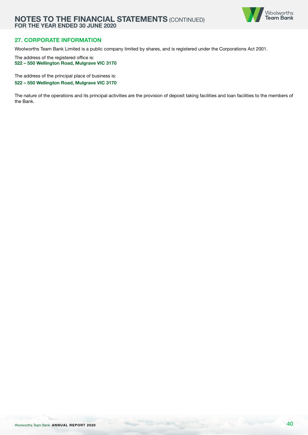

# **27. CORPORATE INFORMATION**

Woolworths Team Bank Limited is a public company limited by shares, and is registered under the Corporations Act 2001.

The address of the registered office is: **522 – 550 Wellington Road, Mulgrave VIC 3170**

The address of the principal place of business is: **522 – 550 Wellington Road, Mulgrave VIC 3170**

The nature of the operations and its principal activities are the provision of deposit taking facilities and loan facilities to the members of the Bank.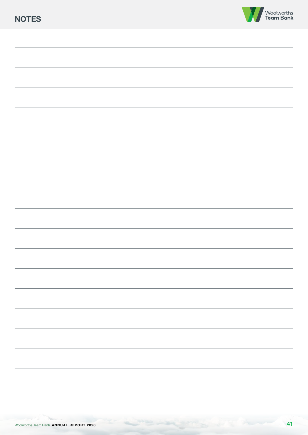